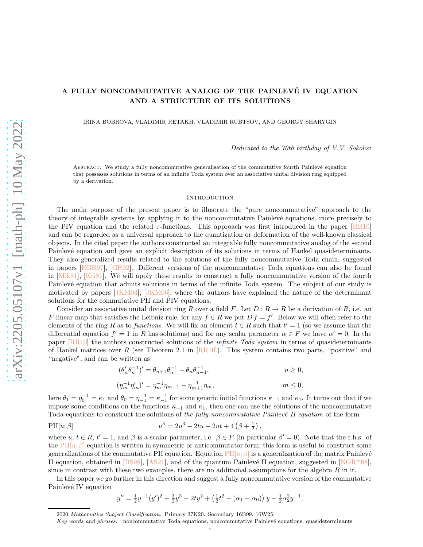# <span id="page-0-1"></span>A FULLY NONCOMMUTATIVE ANALOG OF THE PAINLEVÉ IV EQUATION AND A STRUCTURE OF ITS SOLUTIONS

IRINA BOBROVA, VLADIMIR RETAKH, VLADIMIR RUBTSOV, AND GEORGY SHARYGIN

Dedicated to the 70th birthday of V.V. Sokolov

ABSTRACT. We study a fully noncommutative generalisation of the commutative fourth Painlevé equation that possesses solutions in terms of an infinite Toda system over an associative unital division ring equipped by a derivation.

#### **INTRODUCTION**

The main purpose of the present paper is to illustrate the "pure noncommutative" approach to the theory of integrable systems by applying it to the noncommutative Painlev´e equations, more precisely to the PIV equation and the related  $\tau$ -functions. This approach was first introduced in the paper  $[RR10]$ and can be regarded as a universal approach to the quantization or deformation of the well-known classical objects. In the cited paper the authors constructed an integrable fully noncommutative analog of the second Painlevé equation and gave an explicit description of its solutions in terms of Hankel quasideterminants. They also generalized results related to the solutions of the fully noncommutative Toda chain, suggested in papers [\[EGR97\]](#page-21-1), [\[GR92\]](#page-21-2). Different versions of the noncommutative Toda equations can also be found in [\[Mik81\]](#page-21-3), [\[Kri81\]](#page-21-4). We will apply these results to construct a fully noncommutative version of the fourth Painlevé equation that admits solutions in terms of the infinite Toda system. The subject of our study is motivated by papers [\[JKM04\]](#page-21-5), [\[JKM06\]](#page-21-6), where the authors have explained the nature of the determinant solutions for the commutative PII and PIV equations.

Consider an associative unital division ring R over a field F. Let  $D: R \to R$  be a derivation of R, i.e. an F-linear map that satisfies the Leibniz rule; for any  $f \in R$  we put  $D f = f'$ . Below we will often refer to the elements of the ring R as to functions. We will fix an element  $t \in R$  such that  $t' = 1$  (so we assume that the differential equation  $f' = 1$  in R has solutions) and for any scalar parameter  $\alpha \in F$  we have  $\alpha' = 0$ . In the paper [\[RR10\]](#page-21-0) the authors constructed solutions of the infinite Toda system in terms of quasideterminants of Hankel matrices over R (see Theorem 2.1 in  $[RR10]$ ). This system contains two parts, "positive" and "negative", and can be written as

$$
(\theta_n' \theta_n^{-1})' = \theta_{n+1} \theta_n^{-1} - \theta_n \theta_{n-1}^{-1}, \qquad n \ge 0,
$$

$$
(\eta_m^{-1}\eta_m')' = \eta_m^{-1}\eta_{m-1} - \eta_{m+1}^{-1}\eta_m, \qquad m \le 0,
$$

here  $\theta_1 = \eta_0^{-1} = \kappa_1$  and  $\theta_0 = \eta_{-1}^{-1} = \kappa_{-1}^{-1}$  for some generic initial functions  $\kappa_{-1}$  and  $\kappa_1$ . It turns out that if we impose some conditions on the functions  $\kappa_{-1}$  and  $\kappa_1$ , then one can use the solutions of the noncommutative Toda equations to construct the solutions of the fully noncommutative Painlevé II equation of the form

,

<span id="page-0-0"></span>
$$
PII[u; \beta] \t u'' = 2u^3 - 2tu - 2ut + 4(\beta + \frac{1}{2})
$$

where  $u, t \in R$ ,  $t' = 1$ , and  $\beta$  is a scalar parameter, i.e.  $\beta \in F$  (in particular  $\beta' = 0$ ). Note that the r.h.s. of the [PII\[](#page-0-0) $u; \beta$ ] equation is written in symmetric or anticommutator form; this form is useful to construct some generalizations of the commutative PII equation. Equation [PII\[](#page-0-0) $u; \beta$ ] is a generalization of the matrix Painlevé II equation, obtained in [\[BS98\]](#page-21-7), [\[AS21\]](#page-21-8), and of the quantum Painlevé II equation, suggested in  $[NGR^+08]$ , since in contrast with these two examples, there are no additional assumptions for the algebra  $R$  in it.

In this paper we go further in this direction and suggest a fully noncommutative version of the commutative Painlevé IV equation

$$
y'' = \frac{1}{2}y^{-1}(y')^2 + \frac{3}{2}y^3 - 2ty^2 + \left(\frac{1}{2}t^2 - (\alpha_1 - \alpha_0)\right)y - \frac{1}{2}\alpha_2^2y^{-1},
$$

<sup>2020</sup> Mathematics Subject Classification. Primary 37K20. Secondary 16B99, 16W25.

Key words and phrases. noncommutative Toda equations, noncommutative Painlevé equations, quasideterminants.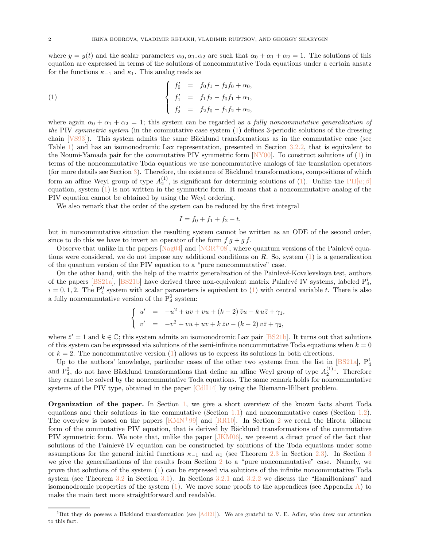<span id="page-1-2"></span>where  $y = y(t)$  and the scalar parameters  $\alpha_0, \alpha_1, \alpha_2$  are such that  $\alpha_0 + \alpha_1 + \alpha_2 = 1$ . The solutions of this equation are expressed in terms of the solutions of noncommutative Toda equations under a certain ansatz for the functions  $\kappa_{-1}$  and  $\kappa_1$ . This analog reads as

<span id="page-1-0"></span>(1) 
$$
\begin{cases}\nf'_0 = f_0f_1 - f_2f_0 + \alpha_0, \\
f'_1 = f_1f_2 - f_0f_1 + \alpha_1, \\
f'_2 = f_2f_0 - f_1f_2 + \alpha_2,\n\end{cases}
$$

where again  $\alpha_0 + \alpha_1 + \alpha_2 = 1$ ; this system can be regarded as a fully noncommutative generalization of the PIV symmetric system (in the commutative case system [\(1\)](#page-1-0) defines 3-periodic solutions of the dressing chain  $[VSS3]$ ). This system admits the same Bäcklund transformations as in the commutative case (see Table [1\)](#page-5-0) and has an isomonodromic Lax representation, presented in Section [3.2.2,](#page-16-0) that is equivalent to the Noumi-Yamada pair for the commutative PIV symmetric form [\[NY00\]](#page-21-11). To construct solutions of [\(1\)](#page-1-0) in terms of the noncommutative Toda equations we use noncommutative analogs of the translation operators (for more details see Section  $3$ ). Therefore, the existence of Bäcklund transformations, compositions of which form an affine Weyl group of type  $A_2^{(1)}$ , is significant for determinig solutions of [\(1\)](#page-1-0). Unlike the  $\text{PII}[u;\beta]$ equation, system  $(1)$  is not written in the symmetric form. It means that a noncommutative analog of the PIV equation cannot be obtained by using the Weyl ordering.

We also remark that the order of the system can be reduced by the first integral

$$
I = f_0 + f_1 + f_2 - t,
$$

but in noncommutative situation the resulting system cannot be written as an ODE of the second order, since to do this we have to invert an operator of the form  $f \, q + q \, f$ .

Observe that unlike in the papers  $[Nag04]$  and  $[NGR^+08]$ , where quantum versions of the Painlevé equations were considered, we do not impose any additional conditions on R. So, system  $(1)$  is a generalization of the quantum version of the PIV equation to a "pure noncommutative" case.

On the other hand, with the help of the matrix generalization of the Painlevé-Kovalevskaya test, authors of the papers  $[BS21a]$ ,  $[BS21b]$  have derived three non-equivalent matrix Painlevé IV systems, labeled  $P_4^i$ ,  $i = 0, 1, 2$ . The  $P_4^0$  system with scalar parameters is equivalent to [\(1\)](#page-1-0) with central variable t. There is also a fully noncommutative version of the  $P_4^0$  system:

$$
\begin{cases}\nu' & = -u^2 + uv + vu + (k-2) \bar{z}u - k u \bar{z} + \gamma_1, \\
v' & = -v^2 + vu + uv + k \bar{z}v - (k-2)v \bar{z} + \gamma_2,\n\end{cases}
$$

where  $\bar{z}' = 1$  and  $k \in \mathbb{C}$ ; this system admits an isomonodromic Lax pair [\[BS21b\]](#page-21-14). It turns out that solutions of this system can be expressed via solutions of the semi-infinite noncommutative Toda equations when  $k = 0$ or  $k = 2$ . The noncommutative version [\(1\)](#page-1-0) allows us to express its solutions in both directions.

Up to the authors' knowledge, particular cases of the other two systems from the list in [\[BS21a\]](#page-21-13),  $P_4^1$  $P_4^1$  and  $P_4^2$ , do not have Bäcklund transformations that define an affine Weyl group of type  $A_2^{(1)}$ . Therefore they cannot be solved by the noncommutative Toda equations. The same remark holds for noncommutative systems of the PIV type, obtained in the paper [\[CdlI14\]](#page-21-15) by using the Riemann-Hilbert problem.

Organization of the paper. In Section [1,](#page-2-0) we give a short overview of the known facts about Toda equations and their solutions in the commutative (Section [1.1\)](#page-2-1) and noncommutative cases (Section [1.2\)](#page-3-0). The overview is based on the papers  $\lfloor$ KMN<sup>+99</sup>] and  $\lfloor$ RR10. In Section [2](#page-4-0) we recall the Hirota bilinear form of the commutative PIV equation, that is derived by Bäcklund transformations of the commutative PIV symmetric form. We note that, unlike the paper [\[JKM06\]](#page-21-6), we present a direct proof of the fact that solutions of the Painlevé IV equation can be constructed by solutions of the Toda equations under some assumptions for the general initial functions  $\kappa_{-1}$  and  $\kappa_1$  (see Theorem [2.3](#page-10-0) in Section [2.3\)](#page-7-0). In Section [3](#page-12-0) we give the generalizations of the results from Section [2](#page-4-0) to a "pure noncommutative" case. Namely, we prove that solutions of the system [\(1\)](#page-1-0) can be expressed via solutions of the infinite noncommutative Toda system (see Theorem [3.2](#page-15-0) in Section [3.1\)](#page-12-1). In Sections [3.2.1](#page-15-1) and [3.2.2](#page-16-0) we discuss the "Hamiltonians" and isomonodromic properties of the system  $(1)$ . We move some proofs to the appendices (see Appendix [A\)](#page-18-0) to make the main text more straightforward and readable.

<span id="page-1-1"></span><sup>&</sup>lt;sup>1</sup>But they do possess a Bäcklund transformation (see  $[Ad121]$ ). We are grateful to V. E. Adler, who drew our attention to this fact.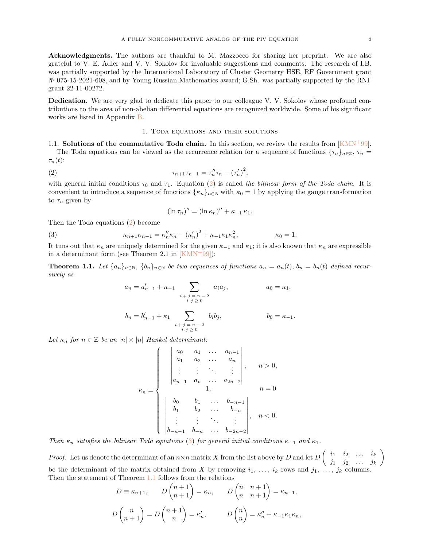<span id="page-2-5"></span>Acknowledgments. The authors are thankful to M. Mazzocco for sharing her preprint. We are also grateful to V. E. Adler and V. V. Sokolov for invaluable suggestions and comments. The research of I.B. was partially supported by the International Laboratory of Cluster Geometry HSE, RF Government grant № 075-15-2021-608, and by Young Russian Mathematics award; G.Sh. was partially supported by the RNF grant 22-11-00272.

Dedication. We are very glad to dedicate this paper to our colleague V. V. Sokolov whose profound contributions to the area of non-abelian differential equations are recognized worldwide. Some of his significant works are listed in Appendix [B.](#page-20-0)

## 1. Toda equations and their solutions

<span id="page-2-1"></span><span id="page-2-0"></span>1.1. Solutions of the commutative Toda chain. In this section, we review the results from  $\text{KMM}^+$ 99. The Toda equations can be viewed as the recurrence relation for a sequence of functions  ${\{\tau_n\}}_{n\in\mathbb{Z}}$ ,  $\tau_n$ 

 $\tau_n(t)$ :

<span id="page-2-2"></span>(2) 
$$
\tau_{n+1}\tau_{n-1} = \tau''_n \tau_n - (\tau'_n)^2,
$$

with general initial conditions  $\tau_0$  and  $\tau_1$ . Equation [\(2\)](#page-2-2) is called the bilinear form of the Toda chain. It is convenient to introduce a sequence of functions  $\{\kappa_n\}_{n\in\mathbb{Z}}$  with  $\kappa_0 = 1$  by applying the gauge transformation to  $\tau_n$  given by

$$
(\ln \tau_n)'' = (\ln \kappa_n)'' + \kappa_{-1} \kappa_1.
$$

Then the Toda equations [\(2\)](#page-2-2) become

<span id="page-2-3"></span>(3) 
$$
\kappa_{n+1}\kappa_{n-1} = \kappa_n''\kappa_n - (\kappa_n')^2 + \kappa_{-1}\kappa_1\kappa_n^2, \qquad \kappa_0 = 1.
$$

It tuns out that  $\kappa_n$  are uniquely determined for the given  $\kappa_{-1}$  and  $\kappa_1$ ; it is also known that  $\kappa_n$  are expressible in a determinant form (see Theorem 2.1 in  $[KMN^+99]$ ):

<span id="page-2-4"></span>**Theorem 1.1.** Let  $\{a_n\}_{n\in\mathbb{N}}$ ,  $\{b_n\}_{n\in\mathbb{N}}$  be two sequences of functions  $a_n = a_n(t)$ ,  $b_n = b_n(t)$  defined recursively as

$$
a_n = a'_{n-1} + \kappa_{-1} \sum_{\substack{i+j = n-2 \\ i,j \ge 0}} a_i a_j, \qquad a_0 = \kappa_1,
$$
  

$$
b_n = b'_{n-1} + \kappa_1 \sum_{\substack{i+j = n-2 \\ i,j \ge 0}} b_i b_j, \qquad b_0 = \kappa_{-1}.
$$

Let  $\kappa_n$  for  $n \in \mathbb{Z}$  be an  $|n| \times |n|$  Hankel determinant:

$$
\kappa_n = \left\{ \begin{array}{cccc} \left| \begin{array}{cccc} a_0 & a_1 & \dots & a_{n-1} \\ a_1 & a_2 & \dots & a_n \\ \vdots & \vdots & \ddots & \vdots \\ a_{n-1} & a_n & \dots & a_{2n-2} \end{array} \right|, & n > 0, \\ b_1 & b_1 & \dots & b_{-n-1} \\ b_1 & b_2 & \dots & b_{-n} \\ \vdots & \vdots & \ddots & \vdots \\ b_{-n-1} & b_{-n} & \dots & b_{-2n-2} \end{array} \right|, & n < 0.
$$

Then  $\kappa_n$  satisfies the bilinear Toda equations [\(3\)](#page-2-3) for general initial conditions  $\kappa_{-1}$  and  $\kappa_1$ .

*Proof.* Let us denote the determinant of an  $n \times n$  matrix X from the list above by D and let  $D\begin{pmatrix} i_1 & i_2 & \cdots & i_k \\ \vdots & \vdots & \vdots & \vdots \end{pmatrix}$  $j_1$   $j_2$  ...  $j_k$  $\setminus$ be the determinant of the matrix obtained from X by removing  $i_1, \ldots, i_k$  rows and  $j_1, \ldots, j_k$  columns. Then the statement of Theorem  $1.1$  follows from the relations

$$
D \equiv \kappa_{n+1}, \qquad D\begin{pmatrix} n+1 \\ n+1 \end{pmatrix} = \kappa_n, \qquad D\begin{pmatrix} n & n+1 \\ n & n+1 \end{pmatrix} = \kappa_{n-1},
$$

$$
D\begin{pmatrix} n \\ n+1 \end{pmatrix} = D\begin{pmatrix} n+1 \\ n \end{pmatrix} = \kappa'_n, \qquad D\begin{pmatrix} n \\ n \end{pmatrix} = \kappa''_n + \kappa_{-1}\kappa_1\kappa_n,
$$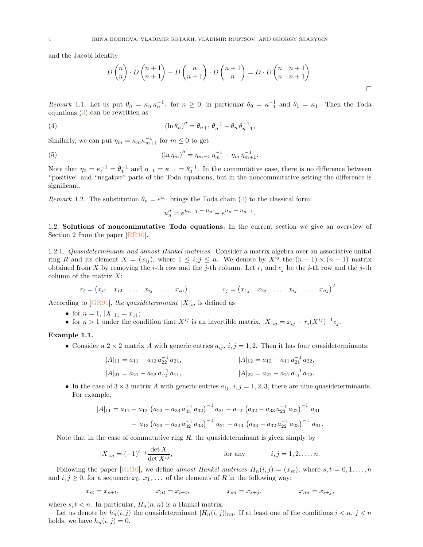<span id="page-3-3"></span>and the Jacobi identity

$$
D\binom{n}{n} \cdot D\binom{n+1}{n+1} - D\binom{n}{n+1} \cdot D\binom{n+1}{n} = D \cdot D\binom{n}{n} \cdot \binom{n+1}{n+1}.
$$

.

Remark 1.1. Let us put  $\theta_n = \kappa_n \kappa_{n-1}^{-1}$  for  $n \geq 0$ , in particular  $\theta_0 = \kappa_{-1}^{-1}$  and  $\theta_1 = \kappa_1$ . Then the Toda equations [\(3\)](#page-2-3) can be rewritten as

<span id="page-3-1"></span>(4) 
$$
(\ln \theta_n)'' = \theta_{n+1} \theta_n^{-1} - \theta_n \theta_{n-1}^{-1},
$$

Similarly, we can put  $\eta_m = \kappa_m \kappa_{m+1}^{-1}$  for  $m \leq 0$  to get

<span id="page-3-2"></span>(5) 
$$
(\ln \eta_m)'' = \eta_{m-1} \eta_m^{-1} - \eta_m \eta_{m+1}^{-1}.
$$

Note that  $\eta_0 = \kappa_1^{-1} = \theta_1^{-1}$  and  $\eta_{-1} = \kappa_{-1} = \theta_0^{-1}$ . In the commutative case, there is no difference between "positive" and "negative" parts of the Toda equations, but in the noncommutative setting the difference is significant.

Remark 1.2. The substitution  $\theta_n = e^{u_n}$  brings the Toda chain [\(4\)](#page-3-1) to the classical form:

$$
u_n'' = e^{u_{n+1} - u_n} - e^{u_n - u_{n-1}}
$$

<span id="page-3-0"></span>1.2. Solutions of noncommutative Toda equations. In the current section we give an overview of Section 2 from the paper [\[RR10\]](#page-21-0).

1.2.1. Quasideterminants and almost Hankel matrices. Consider a matrix algebra over an associative unital ring R and its element  $X = (x_{ij})$ , where  $1 \le i, j \le n$ . We denote by  $X^{ij}$  the  $(n-1) \times (n-1)$  matrix obtained from X by removing the *i*-th row and the *j*-th column. Let  $r_i$  and  $c_j$  be the *i*-th row and the *j*-th column of the matrix  $X$ :

$$
r_i = (x_{i1} \ x_{i2} \ \ldots \ x_{ij} \ \ldots \ x_{in}),
$$
  $c_j = (x_{1j} \ x_{2j} \ \ldots \ x_{ij} \ \ldots \ x_{nj})^T.$ 

According to [\[GR91\]](#page-21-18), the quasideterminant  $|X|_{ij}$  is defined as

- for  $n = 1, |X|_{11} = x_{11};$
- for  $n > 1$  under the condition that  $X^{ij}$  is an invertible matrix,  $|X|_{ij} = x_{ij} r_i(X^{ij})^{-1}c_j$ .

#### Example 1.1.

• Consider a 2 × 2 matrix A with generic entries  $a_{ij}$ ,  $i, j = 1, 2$ . Then it has four quasideterminants:

$$
|A|_{11} = a_{11} - a_{12} a_{22}^{-1} a_{21},
$$
  
\n
$$
|A|_{12} = a_{12} - a_{11} a_{21}^{-1} a_{22},
$$
  
\n
$$
|A|_{21} = a_{21} - a_{22} a_{12}^{-1} a_{11},
$$
  
\n
$$
|A|_{22} = a_{22} - a_{21} a_{11}^{-1} a_{12}.
$$

• In the case of  $3 \times 3$  matrix A with generic entries  $a_{ij}$ ,  $i, j = 1, 2, 3$ , there are nine quasideterminants. For example,

$$
|A|_{11} = a_{11} - a_{12} (a_{22} - a_{23} a_{33}^{-1} a_{32})^{-1} a_{21} - a_{12} (a_{32} - a_{33} a_{23}^{-1} a_{22})^{-1} a_{31}
$$

$$
- a_{13} (a_{23} - a_{22} a_{32}^{-1} a_{33})^{-1} a_{21} - a_{13} (a_{33} - a_{32} a_{22}^{-1} a_{23})^{-1} a_{31}.
$$

Note that in the case of commutative ring  $R$ , the quasideterminant is given simply by

$$
|X|_{ij} = (-1)^{i+j} \frac{\det X}{\det X^{ij}},
$$
 for any  $i, j = 1, 2, ..., n$ .

Following the paper  $[RR10]$ , we define almost Hankel matrices  $H_n(i,j) = (x_{st})$ , where  $s, t = 0, 1, ..., n$ and  $i, j \geq 0$ , for a sequence  $x_0, x_1, \ldots$  of the elements of R in the following way:

$$
x_{st}=x_{s+t}, \hspace{1.5cm} x_{nt}=x_{i+t}, \hspace{1.5cm} x_{sn}=x_{s+j}, \hspace{1.5cm} x_{nn}=x_{i+j},
$$

where  $s, t < n$ . In particular,  $H_n(n, n)$  is a Hankel matrix.

Let us denote by  $h_n(i, j)$  the quasideterminant  $|H_n(i, j)|_{nn}$ . If at least one of the conditions  $i < n, j < n$ holds, we have  $h_n(i, j) = 0$ .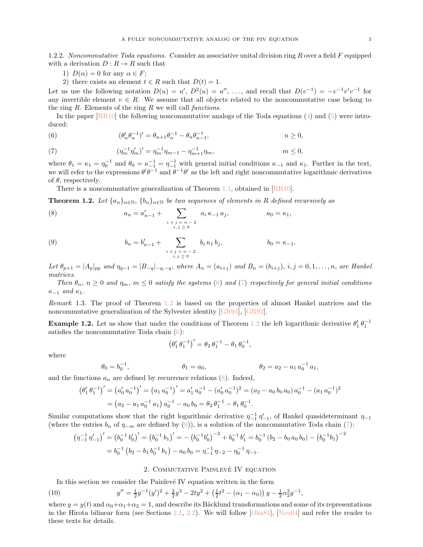<span id="page-4-7"></span>1.2.2. Noncommutative Toda equations. Consider an associative unital division ring R over a field F equipped with a derivation  $D: R \to R$  such that

- 1)  $D(\alpha) = 0$  for any  $\alpha \in F$ ;
- 2) there exists an element  $t \in R$  such that  $D(t) = 1$ .

Let us use the following notation  $D(u) = u'$ ,  $D^2(u) = u''$ , ..., and recall that  $D(v^{-1}) = -v^{-1}v'v^{-1}$  for any invertible element  $v \in R$ . We assume that all objects related to the noncommutative case belong to the ring  $R$ . Elements of the ring  $R$  we will call *functions*.

In the paper  $[RR10]$  the following noncommutative analogs of the Toda equations [\(4\)](#page-3-1) and [\(5\)](#page-3-2) were introduced:

<span id="page-4-1"></span>(6) 
$$
(\theta'_n \theta_n^{-1})' = \theta_{n+1} \theta_n^{-1} - \theta_n \theta_{n-1}^{-1}, \qquad n \ge 0,
$$

<span id="page-4-2"></span>(7) 
$$
(\eta_m^{-1} \eta'_m)' = \eta_m^{-1} \eta_{m-1} - \eta_{m+1}^{-1} \eta_m, \qquad m \le 0,
$$

where  $\theta_1 = \kappa_1 = \eta_0^{-1}$  and  $\theta_0 = \kappa_{-1}^{-1} = \eta_{-1}^{-1}$  with general initial conditions  $\kappa_{-1}$  and  $\kappa_1$ . Further in the text, we will refer to the expressions  $\theta'\theta^{-1}$  and  $\theta^{-1}\theta'$  as the left and right noncommutative logarithmic derivatives of  $\theta$ , respectively.

There is a noncommutative generalization of Theorem [1.1,](#page-2-4) obtained in [\[RR10\]](#page-21-0).

<span id="page-4-3"></span>**Theorem 1.2.** Let  $\{a_n\}_{n\in\mathbb{N}}$ ,  $\{b_n\}_{n\in\mathbb{N}}$  be two sequences of elements in R defined recursively as

<span id="page-4-4"></span>(8) 
$$
a_n = a'_{n-1} + \sum_{\substack{i+j = n-2 \\ i,j \ge 0}} a_i \kappa_{-1} a_j, \qquad a_0 = \kappa_1,
$$

<span id="page-4-5"></span>(9) 
$$
b_n = b'_{n-1} + \sum_{\substack{i+j=n-2 \ i,j \ge 0}} b_i \kappa_1 b_j, \qquad b_0 = \kappa_{-1}.
$$

Let  $\theta_{p+1} = |A_p|_{pp}$  and  $\eta_{q-1} = |B_{-q}|_{-q,-q}$ , where  $A_n = (a_{i+j})$  and  $B_n = (b_{i+j})$ ,  $i, j = 0, 1, ..., n$ , are Hankel matrices.

Then  $\theta_n$ ,  $n \geq 0$  and  $\eta_m$ ,  $m \leq 0$  satisfy the systems [\(6\)](#page-4-1) and [\(7\)](#page-4-2) respectively for general initial conditions  $\kappa_{-1}$  and  $\kappa_1$ .

Remark 1.3. The proof of Theorem [1.2](#page-4-3) is based on the properties of almost Hankel matrices and the noncommutative generalization of the Sylvester identity [\[GR91\]](#page-21-18), [\[GR92\]](#page-21-2).

**Example [1.2](#page-4-3).** Let us show that under the conditions of Theorem 1.2 the left logarithmic derivative  $\theta'_1 \theta_1^{-1}$ satisfies the noncommutative Toda chain  $(6)$ :

$$
(\theta_1' \,\theta_1^{-1})' = \theta_2 \,\theta_1^{-1} - \theta_1 \,\theta_0^{-1},
$$

where

$$
\theta_0 = b_0^{-1}, \qquad \theta_1 = a_0, \qquad \theta_2 = a_2 - a_1 a_0^{-1} a_1,
$$

and the functions  $a_n$  are defined by recurrence relations  $(8)$ . Indeed,

$$
\left(\theta_1' \,\theta_1^{-1}\right)' = \left(a_0' \, a_0^{-1}\right)' = \left(a_1 \, a_0^{-1}\right)' = a_1' \, a_0^{-1} - \left(a_0' \, a_0^{-1}\right)^2 = \left(a_2 - a_0 \, b_0 \, a_0\right) a_0^{-1} - \left(a_1 \, a_0^{-1}\right)^2
$$
\n
$$
= \left(a_2 - a_1 \, a_0^{-1} \, a_1\right) a_0^{-1} - a_0 \, b_0 = \theta_2 \, \theta_1^{-1} - \theta_1 \, \theta_0^{-1}.
$$

Similar computations show that the right logarithmic derivative  $\eta_{-1}^{-1} \eta'_{-1}$ , of Hankel quasideterminant  $\eta_{-1}$ (where the entries  $b_n$  of  $\eta_{-m}$  are defined by [\(9\)](#page-4-5)), is a solution of the noncommutative Toda chain [\(7\)](#page-4-2):

$$
\left(\eta_{-1}^{-1}\eta_{-1}'\right)' = \left(b_0^{-1}b_0'\right)' = \left(b_0^{-1}b_1\right)' = -\left(b_0^{-1}b_0'\right)^{-2} + b_0^{-1}b_1' = b_0^{-1}\left(b_2 - b_0a_0b_0\right) - \left(b_0^{-1}b_1\right)^{-2}
$$

$$
= b_0^{-1}\left(b_2 - b_1b_0^{-1}b_1\right) - a_0b_0 = \eta_{-1}^{-1}\eta_{-2} - \eta_0^{-1}\eta_{-1}.
$$

## 2. COMMUTATIVE PAINLEVÉ IV EQUATION

<span id="page-4-0"></span>In this section we consider the Painlevé IV equation written in the form

<span id="page-4-6"></span>(10) 
$$
y'' = \frac{1}{2}y^{-1}(y')^2 + \frac{3}{2}y^3 - 2ty^2 + \left(\frac{1}{2}t^2 - (\alpha_1 - \alpha_0)\right)y - \frac{1}{2}\alpha_2^2y^{-1},
$$

where  $y = y(t)$  and  $\alpha_0 + \alpha_1 + \alpha_2 = 1$ , and describe its Bäcklund transformations and some of its representations in the Hirota bilinear form (see Sections [2.1,](#page-5-1) [2.2\)](#page-6-0). We will follow [\[Oka81\]](#page-21-19), [\[Nou04\]](#page-21-20) and refer the reader to these texts for details.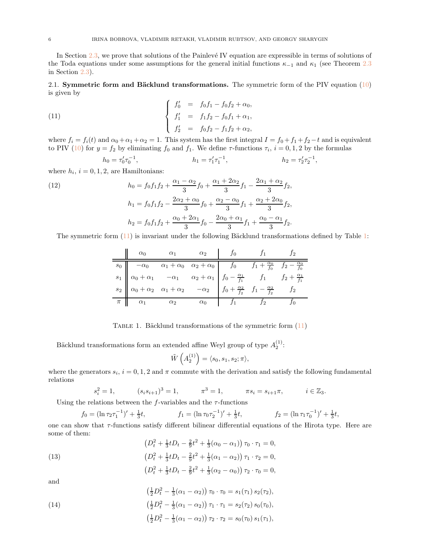In Section  $2.3$ , we prove that solutions of the Painlevé IV equation are expressible in terms of solutions of the Toda equations under some assumptions for the general initial functions  $\kappa_{-1}$  and  $\kappa_1$  (see Theorem [2.3](#page-10-0) in Section [2.3\)](#page-7-0).

<span id="page-5-1"></span>2.1. Symmetric form and Bäcklund transformations. The symmetric form of the PIV equation  $(10)$ is given by

<span id="page-5-2"></span>(11) 
$$
\begin{cases}\nf'_0 = f_0f_1 - f_0f_2 + \alpha_0, \\
f'_1 = f_1f_2 - f_0f_1 + \alpha_1, \\
f'_2 = f_0f_2 - f_1f_2 + \alpha_2,\n\end{cases}
$$

where  $f_i = f_i(t)$  and  $\alpha_0 + \alpha_1 + \alpha_2 = 1$ . This system has the first integral  $I = f_0 + f_1 + f_2 - t$  and is equivalent to PIV [\(10\)](#page-4-6) for  $y = f_2$  by eliminating  $f_0$  and  $f_1$ . We define  $\tau$ -functions  $\tau_i$ ,  $i = 0, 1, 2$  by the formulas

$$
h_0 = \tau_0' \tau_0^{-1}, \qquad \qquad h_1 = \tau_1' \tau_1^{-1}, \qquad \qquad h_2 = \tau_2' \tau_2^{-1},
$$

where  $h_i$ ,  $i = 0, 1, 2$ , are Hamiltonians:

<span id="page-5-5"></span>(12) 
$$
h_0 = f_0 f_1 f_2 + \frac{\alpha_1 - \alpha_2}{3} f_0 + \frac{\alpha_1 + 2\alpha_2}{3} f_1 - \frac{2\alpha_1 + \alpha_2}{3} f_2,
$$

$$
h_1 = f_0 f_1 f_2 - \frac{2\alpha_2 + \alpha_0}{3} f_0 + \frac{\alpha_2 - \alpha_0}{3} f_1 + \frac{\alpha_2 + 2\alpha_0}{3} f_2,
$$

$$
h_2 = f_0 f_1 f_2 + \frac{\alpha_0 + 2\alpha_1}{3} f_0 - \frac{2\alpha_0 + \alpha_1}{3} f_1 + \frac{\alpha_0 - \alpha_1}{3} f_2.
$$

<span id="page-5-0"></span>The symmetric form  $(11)$  is invariant under the following Bäcklund transformations defined by Table [1:](#page-5-0)

|                                                                                                                                                                                                                                                                                                                                                                                                                                             | $\alpha_0$ $\alpha_1$ $\alpha_2$ |             | $f_0$ $f_1$ $J_2$ |  |
|---------------------------------------------------------------------------------------------------------------------------------------------------------------------------------------------------------------------------------------------------------------------------------------------------------------------------------------------------------------------------------------------------------------------------------------------|----------------------------------|-------------|-------------------|--|
|                                                                                                                                                                                                                                                                                                                                                                                                                                             |                                  |             |                   |  |
|                                                                                                                                                                                                                                                                                                                                                                                                                                             |                                  |             |                   |  |
| $\begin{array}{c ccc} s_0 & -\alpha_0 & \alpha_1+\alpha_0 & \alpha_2+\alpha_0 \\ s_1 & \alpha_0+\alpha_1 & -\alpha_1 & \alpha_2+\alpha_1 \\ s_2 & \alpha_0+\alpha_2 & \alpha_1+\alpha_2 & -\alpha_2 \end{array} \quad \begin{array}{c ccc} f_0 & f_1+\frac{\alpha_0}{f_0} & f_2-\frac{\alpha_0}{f_0} \\ f_0-\frac{\alpha_1}{f_1} & f_1 & f_2+\frac{\alpha_1}{f_1} \\ f_0+\frac{\alpha_2}{f_2} & f_1-\frac{\alpha_2}{f_2} & f_2 \end{array}$ |                                  |             |                   |  |
| $\pi$ $\alpha_1$ $\alpha_2$ $\alpha_0$                                                                                                                                                                                                                                                                                                                                                                                                      |                                  | $f_1$ $f_2$ |                   |  |

TABLE 1. Bäcklund transformations of the symmetric form  $(11)$ 

Bäcklund transformations form an extended affine Weyl group of type  $A_2^{(1)}$ :

$$
\tilde{W}\left(A_2^{(1)}\right) = \langle s_0, s_1, s_2; \pi \rangle,
$$

where the generators  $s_i$ ,  $i = 0, 1, 2$  and  $\pi$  commute with the derivation and satisfy the following fundamental relations

$$
s_i^2 = 1,
$$
  $(s_i s_{i+1})^3 = 1,$   $\pi^3 = 1,$   $\pi s_i = s_{i+1} \pi,$   $i \in \mathbb{Z}_3.$ 

Using the relations between the  $f$ -variables and the  $\tau$ -functions

$$
f_0 = (\ln \tau_2 \tau_1^{-1})' + \frac{1}{3}t, \qquad f_1 = (\ln \tau_0 \tau_2^{-1})' + \frac{1}{3}t, \qquad f_2 = (\ln \tau_1 \tau_0^{-1})' + \frac{1}{3}t,
$$

one can show that  $\tau$ -functions satisfy different bilinear differential equations of the Hirota type. Here are some of them:

<span id="page-5-3"></span>(13)  
\n
$$
(D_t^2 + \frac{1}{3}tD_t - \frac{2}{9}t^2 + \frac{1}{3}(\alpha_0 - \alpha_1)) \tau_0 \cdot \tau_1 = 0,
$$
\n
$$
(D_t^2 + \frac{1}{3}tD_t - \frac{2}{9}t^2 + \frac{1}{3}(\alpha_1 - \alpha_2)) \tau_1 \cdot \tau_2 = 0,
$$
\n
$$
(D_t^2 + \frac{1}{3}tD_t - \frac{2}{9}t^2 + \frac{1}{3}(\alpha_2 - \alpha_0)) \tau_2 \cdot \tau_0 = 0,
$$

and

<span id="page-5-4"></span>(14)  
\n
$$
\left(\frac{1}{2}D_t^2 - \frac{1}{3}(\alpha_1 - \alpha_2)\right)\tau_0 \cdot \tau_0 = s_1(\tau_1) s_2(\tau_2),
$$
\n
$$
\left(\frac{1}{2}D_t^2 - \frac{1}{3}(\alpha_1 - \alpha_2)\right)\tau_1 \cdot \tau_1 = s_2(\tau_2) s_0(\tau_0),
$$
\n
$$
\left(\frac{1}{2}D_t^2 - \frac{1}{3}(\alpha_1 - \alpha_2)\right)\tau_2 \cdot \tau_2 = s_0(\tau_0) s_1(\tau_1),
$$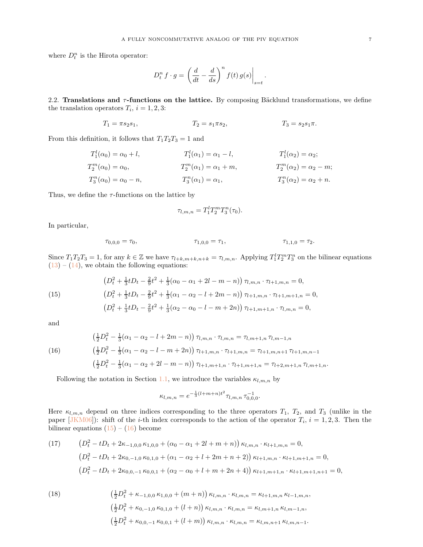<span id="page-6-5"></span>where  $D_t^n$  is the Hirota operator:

$$
D_t^n f \cdot g = \left. \left( \frac{d}{dt} - \frac{d}{ds} \right)^n f(t) \, g(s) \right|_{s=t}
$$

.

<span id="page-6-0"></span>2.2. Translations and  $\tau$ -functions on the lattice. By composing Bäcklund transformations, we define the translation operators  $T_i$ ,  $i = 1, 2, 3$ :

$$
T_1 = \pi s_2 s_1, \qquad T_2 = s_1 \pi s_2, \qquad T_3 = s_2 s_1 \pi.
$$

From this definition, it follows that  $T_1T_2T_3 = 1$  and

$$
T_1^l(\alpha_0) = \alpha_0 + l, \t T_1^l(\alpha_1) = \alpha_1 - l, \t T_1^l(\alpha_2) = \alpha_2; T_2^m(\alpha_0) = \alpha_0, \t T_2^m(\alpha_1) = \alpha_1 + m, \t T_2^m(\alpha_2) = \alpha_2 - m; T_3^n(\alpha_0) = \alpha_0 - n, \t T_3^n(\alpha_1) = \alpha_1, \t T_3^n(\alpha_2) = \alpha_2 + n.
$$

Thus, we define the  $\tau$ -functions on the lattice by

$$
\tau_{l,m,n}=T_1^lT_2^mT_3^n(\tau_0).
$$

In particular,

$$
\tau_{0,0,0} = \tau_0, \qquad \tau_{1,0,0} = \tau_1, \qquad \tau_{1,1,0} = \tau_2.
$$

Since  $T_1T_2T_3 = 1$ , for any  $k \in \mathbb{Z}$  we have  $\tau_{l+k,m+k,n+k} = \tau_{l,m,n}$ . Applying  $T_1^l T_2^m T_3^n$  on the bilinear equations  $(13) - (14)$  $(13) - (14)$  $(13) - (14)$ , we obtain the following equations:

<span id="page-6-1"></span>(15) 
$$
\left(D_t^2 + \frac{1}{3}tD_t - \frac{2}{9}t^2 + \frac{1}{3}(\alpha_0 - \alpha_1 + 2l - m - n)\right)\tau_{l,m,n} \cdot \tau_{l+1,m,n} = 0,
$$

$$
\left(D_t^2 + \frac{1}{3}tD_t - \frac{2}{9}t^2 + \frac{1}{3}(\alpha_1 - \alpha_2 - l + 2m - n)\right)\tau_{l+1,m,n} \cdot \tau_{l+1,m+1,n} = 0,
$$

$$
\left(D_t^2 + \frac{1}{3}tD_t - \frac{2}{9}t^2 + \frac{1}{3}(\alpha_2 - \alpha_0 - l - m + 2n)\right)\tau_{l+1,m+1,n} \cdot \tau_{l,m,n} = 0,
$$

and

<span id="page-6-2"></span>(16)  
\n
$$
\left(\frac{1}{2}D_t^2 - \frac{1}{3}(\alpha_1 - \alpha_2 - l + 2m - n)\right)\tau_{l,m,n} \cdot \tau_{l,m,n} = \tau_{l,m+1,n} \tau_{l,m-1,n}
$$
\n
$$
\left(\frac{1}{2}D_t^2 - \frac{1}{3}(\alpha_1 - \alpha_2 - l - m + 2n)\right)\tau_{l+1,m,n} \cdot \tau_{l+1,m,n} = \tau_{l+1,m,n+1} \tau_{l+1,m,n-1}
$$
\n
$$
\left(\frac{1}{2}D_t^2 - \frac{1}{3}(\alpha_1 - \alpha_2 + 2l - m - n)\right)\tau_{l+1,m+1,n} \cdot \tau_{l+1,m+1,n} = \tau_{l+2,m+1,n} \tau_{l,m+1,n}.
$$

Following the notation in Section [1.1,](#page-2-1) we introduce the variables  $\kappa_{l,m,n}$  by

$$
\kappa_{l,m,n} = e^{-\frac{1}{3}(l+m+n)t^2} \tau_{l,m,n} \, \tau_{0,0,0}^{-1}.
$$

Here  $\kappa_{l,m,n}$  depend on three indices corresponding to the three operators  $T_1$ ,  $T_2$ , and  $T_3$  (unlike in the paper  $[JKM06]$ : shift of the *i*-th index corresponds to the action of the operator  $T_i$ ,  $i = 1, 2, 3$ . Then the bilinear equations  $(15) - (16)$  $(15) - (16)$  become

<span id="page-6-4"></span>(17) 
$$
(D_t^2 - tD_t + 2\kappa_{-1,0,0} \kappa_{1,0,0} + (\alpha_0 - \alpha_1 + 2l + m + n)) \kappa_{l,m,n} \cdot \kappa_{l+1,m,n} = 0,
$$
  
\n
$$
(D_t^2 - tD_t + 2\kappa_{0,-1,0} \kappa_{0,1,0} + (\alpha_1 - \alpha_2 + l + 2m + n + 2)) \kappa_{l+1,m,n} \cdot \kappa_{l+1,m+1,n} = 0,
$$
  
\n
$$
(D_t^2 - tD_t + 2\kappa_{0,0,-1} \kappa_{0,0,1} + (\alpha_2 - \alpha_0 + l + m + 2n + 4)) \kappa_{l+1,m+1,n} \cdot \kappa_{l+1,m+1,n+1} = 0,
$$

<span id="page-6-3"></span>(18) 
$$
\left(\frac{1}{2}D_t^2 + \kappa_{-1,0,0} \kappa_{1,0,0} + (m+n)\right) \kappa_{l,m,n} \cdot \kappa_{l,m,n} = \kappa_{l+1,m,n} \kappa_{l-1,m,n},
$$

$$
\left(\frac{1}{2}D_t^2 + \kappa_{0,-1,0} \kappa_{0,1,0} + (l+n)\right) \kappa_{l,m,n} \cdot \kappa_{l,m,n} = \kappa_{l,m+1,n} \kappa_{l,m-1,n},
$$

$$
\left(\frac{1}{2}D_t^2 + \kappa_{0,0,-1} \kappa_{0,0,1} + (l+m)\right) \kappa_{l,m,n} \cdot \kappa_{l,m,n} = \kappa_{l,m,n+1} \kappa_{l,m,n-1}.
$$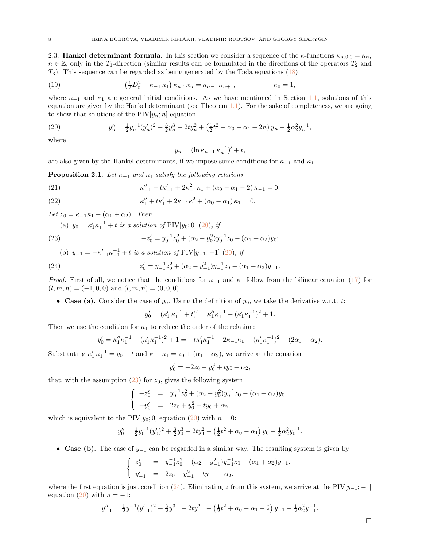<span id="page-7-0"></span>2.3. **Hankel determinant formula.** In this section we consider a sequence of the  $\kappa$ -functions  $\kappa_{n,0,0} = \kappa_n$ ,  $n \in \mathbb{Z}$ , only in the T<sub>1</sub>-direction (similar results can be formulated in the directions of the operators  $T_2$  and  $T_3$ ). This sequence can be regarded as being generated by the Toda equations [\(18\)](#page-6-3):

<span id="page-7-7"></span>(19) 
$$
\left(\frac{1}{2}D_t^2 + \kappa_{-1}\kappa_1\right)\kappa_n \cdot \kappa_n = \kappa_{n-1}\kappa_{n+1}, \qquad \kappa_0 = 1,
$$

where  $\kappa_{-1}$  and  $\kappa_1$  are general initial conditions. As we have mentioned in Section [1.1,](#page-2-1) solutions of this equation are given by the Hankel determinant (see Theorem [1.1\)](#page-2-4). For the sake of completeness, we are going to show that solutions of the  $PIV[y_n; n]$  equation

<span id="page-7-1"></span>(20) 
$$
y''_n = \frac{1}{2}y_n^{-1}(y'_n)^2 + \frac{3}{2}y_n^3 - 2ty_n^2 + \left(\frac{1}{2}t^2 + \alpha_0 - \alpha_1 + 2n\right)y_n - \frac{1}{2}\alpha_2^2y_n^{-1},
$$

where

$$
y_n = (\ln \kappa_{n+1} \kappa_n^{-1})' + t,
$$

are also given by the Hankel determinants, if we impose some conditions for  $\kappa_{-1}$  and  $\kappa_1$ .

<span id="page-7-6"></span>**Proposition 2.1.** Let  $\kappa_{-1}$  and  $\kappa_1$  satisfy the following relations

<span id="page-7-4"></span>(21) 
$$
\kappa_{-1}'' - t\kappa_{-1}' + 2\kappa_{-1}^2 \kappa_1 + (\alpha_0 - \alpha_1 - 2)\kappa_{-1} = 0,
$$

<span id="page-7-5"></span>(22) 
$$
\kappa_1'' + t\kappa_1' + 2\kappa_{-1}\kappa_1^2 + (\alpha_0 - \alpha_1)\kappa_1 = 0.
$$

Let  $z_0 = \kappa_{-1}\kappa_1 - (\alpha_1 + \alpha_2)$ . Then

(a)  $y_0 = \kappa_1' \kappa_1^{-1} + t$  is a solution of PIV[ $y_0$ ; 0] [\(20\)](#page-7-1), if

<span id="page-7-2"></span>(23) 
$$
-z'_0 = y_0^{-1}z_0^2 + (\alpha_2 - y_0^2)y_0^{-1}z_0 - (\alpha_1 + \alpha_2)y_0;
$$

<span id="page-7-3"></span>(b) 
$$
y_{-1} = -\kappa'_{-1}\kappa_{-1}^{-1} + t
$$
 is a solution of  $\text{PIV}[y_{-1}; -1]$  (20), if  
(24) 
$$
z'_0 = y_{-1}^{-1}z_0^2 + (\alpha_2 - y_{-1}^2)y_{-1}^{-1}z_0 - (\alpha_1 + \alpha_2)y_{-1}.
$$

*Proof.* First of all, we notice that the conditions for  $\kappa_{-1}$  and  $\kappa_1$  follow from the bilinear equation [\(17\)](#page-6-4) for  $(l, m, n) = (-1, 0, 0)$  and  $(l, m, n) = (0, 0, 0)$ .

• Case (a). Consider the case of  $y_0$ . Using the definition of  $y_0$ , we take the derivative w.r.t. t:

$$
y'_0 = (\kappa'_1 \kappa_1^{-1} + t)' = \kappa''_1 \kappa_1^{-1} - (\kappa'_1 \kappa_1^{-1})^2 + 1.
$$

Then we use the condition for  $\kappa_1$  to reduce the order of the relation:

$$
y'_0 = \kappa_1'' \kappa_1^{-1} - (\kappa_1' \kappa_1^{-1})^2 + 1 = -t \kappa_1' \kappa_1^{-1} - 2\kappa_{-1} \kappa_1 - (\kappa_1' \kappa_1^{-1})^2 + (2\alpha_1 + \alpha_2).
$$

Substituting  $\kappa'_1 \kappa_1^{-1} = y_0 - t$  and  $\kappa_{-1} \kappa_1 = z_0 + (\alpha_1 + \alpha_2)$ , we arrive at the equation

$$
y'_0 = -2z_0 - y_0^2 + ty_0 - \alpha_2,
$$

that, with the assumption  $(23)$  for  $z_0$ , gives the following system

$$
\begin{cases}\n-z'_0 &= y_0^{-1}z_0^2 + (\alpha_2 - y_0^2)y_0^{-1}z_0 - (\alpha_1 + \alpha_2)y_0, \\
-y'_0 &= 2z_0 + y_0^2 - ty_0 + \alpha_2,\n\end{cases}
$$

which is equivalent to the PIV[ $y_0$ ; 0] equation [\(20\)](#page-7-1) with  $n = 0$ :

$$
y_0'' = \frac{1}{2}y_0^{-1}(y_0')^2 + \frac{3}{2}y_0^3 - 2ty_0^2 + \left(\frac{1}{2}t^2 + \alpha_0 - \alpha_1\right)y_0 - \frac{1}{2}\alpha_2^2y_0^{-1}.
$$

• Case (b). The case of  $y_{-1}$  can be regarded in a similar way. The resulting system is given by

$$
\begin{cases}\nz_0' &= y_{-1}^{-1}z_0^2 + (\alpha_2 - y_{-1}^2)y_{-1}^{-1}z_0 - (\alpha_1 + \alpha_2)y_{-1}, \\
y_{-1}' &= 2z_0 + y_{-1}^2 - ty_{-1} + \alpha_2,\n\end{cases}
$$

where the first equation is just condition [\(24\)](#page-7-3). Eliminating z from this system, we arrive at the PIV[ $y_{-1}$ ; −1] equation [\(20\)](#page-7-1) with  $n = -1$ :

$$
y_{-1}'' = \frac{1}{2}y_{-1}^{-1}(y_{-1}')^2 + \frac{3}{2}y_{-1}^3 - 2ty_{-1}^2 + \left(\frac{1}{2}t^2 + \alpha_0 - \alpha_1 - 2\right)y_{-1} - \frac{1}{2}\alpha_2^2y_{-1}^{-1}.
$$

 $\Box$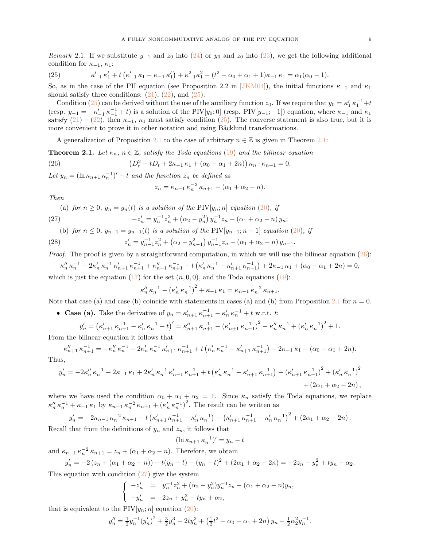<span id="page-8-5"></span>Remark 2.1. If we substitute  $y_{-1}$  and  $z_0$  into  $(24)$  or  $y_0$  and  $z_0$  into  $(23)$ , we get the following additional condition for  $\kappa_{-1}, \kappa_1$ :

<span id="page-8-0"></span>(25) 
$$
\kappa'_{-1} \kappa'_{1} + t \left( \kappa'_{-1} \kappa_{1} - \kappa_{-1} \kappa'_{1} \right) + \kappa_{-1}^{2} \kappa_{1}^{2} - (t^{2} - \alpha_{0} + \alpha_{1} + 1) \kappa_{-1} \kappa_{1} = \alpha_{1} (\alpha_{0} - 1).
$$

So, as in the case of the PII equation (see Proposition 2.2 in [\[JKM04\]](#page-21-5)), the initial functions  $\kappa_{-1}$  and  $\kappa_1$ should satisfy three conditions:  $(21)$ ,  $(22)$ , and  $(25)$ .

Condition [\(25\)](#page-8-0) can be derived without the use of the auxiliary function  $z_0$ . If we require that  $y_0 = \kappa'_1 \kappa_1^{-1} + t$ (resp.  $y_{-1} = -\kappa'_{-1} \kappa_{-1}^{-1} + t$ ) is a solution of the PIV[ $y_0$ ; 0] (resp. PIV[ $y_{-1}$ ; -1]) equation, where  $\kappa_{-1}$  and  $\kappa_1$ satisfy  $(21)$  –  $(22)$ , then  $\kappa_{-1}$ ,  $\kappa_1$  must satisfy condition  $(25)$ . The converse statement is also true, but it is more convenient to prove it in other notation and using Bäcklund transformations.

A generalization of Proposition [2.1](#page-7-6) to the case of arbitrary  $n \in \mathbb{Z}$  is given in Theorem [2.1:](#page-8-1)

<span id="page-8-2"></span><span id="page-8-1"></span>**Theorem 2.1.** Let  $\kappa_n$ ,  $n \in \mathbb{Z}$ , satisfy the Toda equations [\(19\)](#page-7-7) and the bilinear equation (26)  $(D_t^2 - tD_t + 2\kappa_{-1}\kappa_1 + (\alpha_0 - \alpha_1 + 2n)) \kappa_n \cdot \kappa_{n+1} = 0.$ 

Let  $y_n = (\ln \kappa_{n+1} \kappa_n^{-1})' + t$  and the function  $z_n$  be defined as

$$
z_n = \kappa_{n-1} \kappa_n^{-2} \kappa_{n+1} - (\alpha_1 + \alpha_2 - n).
$$

Then

(a) for  $n \geq 0$ ,  $y_n = y_n(t)$  is a solution of the PIV[ $y_n$ ; n] equation [\(20\)](#page-7-1), if

<span id="page-8-3"></span>(27) 
$$
-z'_n = y_n^{-1}z_n^2 + (\alpha_2 - y_n^2) y_n^{-1} z_n - (\alpha_1 + \alpha_2 - n) y_n;
$$

(b) for 
$$
n \leq 0
$$
,  $y_{n-1} = y_{n-1}(t)$  is a solution of the PIV $[y_{n-1}; n-1]$  equation (20), if

<span id="page-8-4"></span>(28) 
$$
z'_{n} = y_{n-1}^{-1} z_{n}^{2} + (\alpha_{2} - y_{n-1}^{2}) y_{n-1}^{-1} z_{n} - (\alpha_{1} + \alpha_{2} - n) y_{n-1}.
$$

*Proof.* The proof is given by a straightforward computation, in which we will use the bilinear equation  $(26)$ :

$$
\kappa''_n \kappa_n^{-1} - 2\kappa'_n \kappa_n^{-1} \kappa'_{n+1} \kappa_{n+1}^{-1} + \kappa''_{n+1} \kappa_{n+1}^{-1} - t \left( \kappa'_n \kappa_n^{-1} - \kappa'_{n+1} \kappa_{n+1}^{-1} \right) + 2\kappa_{-1} \kappa_1 + (\alpha_0 - \alpha_1 + 2n) = 0,
$$
  
ch is just the equation (17) for the set  $(n, 0, 0)$  and the Toda equations (19):

which is just the equation [\(17\)](#page-6-4) for the set  $(n, 0, 0)$ , and the Toda equations [\(19\)](#page-7-7):

$$
\kappa_n'' \, \kappa_n^{-1} - \left(\kappa_n' \, \kappa_n^{-1}\right)^2 + \kappa_{-1} \, \kappa_1 = \kappa_{n-1} \, \kappa_n^{-2} \, \kappa_{n+1}.
$$

Note that case (a) and case (b) coincide with statements in cases (a) and (b) from Proposition [2.1](#page-7-6) for  $n = 0$ .

• Case (a). Take the derivative of  $y_n = \kappa'_{n+1} \kappa_{n+1}^{-1} - \kappa'_n \kappa_n^{-1} + t$  w.r.t. t:

$$
y'_{n} = \left(\kappa'_{n+1} \,\kappa_{n+1}^{-1} - \kappa'_{n} \,\kappa_{n}^{-1} + t\right)' = \kappa''_{n+1} \,\kappa_{n+1}^{-1} - \left(\kappa'_{n+1} \,\kappa_{n+1}^{-1}\right)^{2} - \kappa''_{n} \,\kappa_{n}^{-1} + \left(\kappa'_{n} \,\kappa_{n}^{-1}\right)^{2} + 1.
$$

From the bilinear equation it follows that

$$
\kappa_{n+1}'' \,\kappa_{n+1}^{-1} = -\kappa_n'' \,\kappa_n^{-1} + 2\kappa_n' \,\kappa_n^{-1} \,\kappa_{n+1}' \,\kappa_{n+1}^{-1} + t \left(\kappa_n' \,\kappa_n^{-1} - \kappa_{n+1}' \,\kappa_{n+1}^{-1}\right) - 2\kappa_{-1} \,\kappa_1 - (\alpha_0 - \alpha_1 + 2n).
$$

Thus,

$$
y'_{n} = -2\kappa_{n}''\,\kappa_{n}^{-1} - 2\kappa_{-1}\,\kappa_{1} + 2\kappa_{n}'\,\kappa_{n}^{-1}\,\kappa_{n+1}'\,\kappa_{n+1}^{-1} + t\left(\kappa_{n}'\,\kappa_{n}^{-1} - \kappa_{n+1}'\,\kappa_{n+1}^{-1}\right) - \left(\kappa_{n+1}'\,\kappa_{n+1}^{-1}\right)^{2} + \left(\kappa_{n}'\,\kappa_{n}^{-1}\right)^{2} + \left(2\alpha_{1} + \alpha_{2} - 2n\right),
$$

where we have used the condition  $\alpha_0 + \alpha_1 + \alpha_2 = 1$ . Since  $\kappa_n$  satisfy the Toda equations, we replace  $\kappa''_n \kappa_n^{-1} + \kappa_{-1} \kappa_1$  by  $\kappa_{n-1} \kappa_n^{-2} \kappa_{n+1} + (\kappa'_n \kappa_n^{-1})^2$ . The result can be written as

$$
y'_{n} = -2\kappa_{n-1}\,\kappa_{n}^{-2}\,\kappa_{n+1} - t\left(\kappa'_{n+1}\,\kappa_{n+1}^{-1} - \kappa'_{n}\,\kappa_{n}^{-1}\right) - \left(\kappa'_{n+1}\,\kappa_{n+1}^{-1} - \kappa'_{n}\,\kappa_{n}^{-1}\right)^{2} + \left(2\alpha_{1} + \alpha_{2} - 2n\right).
$$

Recall that from the definitions of  $y_n$  and  $z_n$ , it follows that

$$
(\ln \kappa_{n+1} \kappa_n^{-1})' = y_n - t
$$

and  $\kappa_{n-1} \kappa_n^{-2} \kappa_{n+1} = z_n + (\alpha_1 + \alpha_2 - n)$ . Therefore, we obtain

$$
y'_n = -2(z_n + (\alpha_1 + \alpha_2 - n)) - t(y_n - t) - (y_n - t)^2 + (2\alpha_1 + \alpha_2 - 2n) = -2z_n - y_n^2 + ty_n - \alpha_2.
$$

This equation with condition  $(27)$  give the system

$$
\begin{cases}\n-z'_n &= y_n^{-1}z_n^2 + (\alpha_2 - y_n^2)y_n^{-1}z_n - (\alpha_1 + \alpha_2 - n)y_n, \\
-y'_n &= 2z_n + y_n^2 - ty_n + \alpha_2,\n\end{cases}
$$

that is equivalent to the  $PIV[y_n; n]$  equation [\(20\)](#page-7-1):

$$
y_n'' = \frac{1}{2}y_n^{-1}(y_n')^2 + \frac{3}{2}y_n^3 - 2ty_n^2 + \left(\frac{1}{2}t^2 + \alpha_0 - \alpha_1 + 2n\right)y_n - \frac{1}{2}\alpha_2^2y_n^{-1}.
$$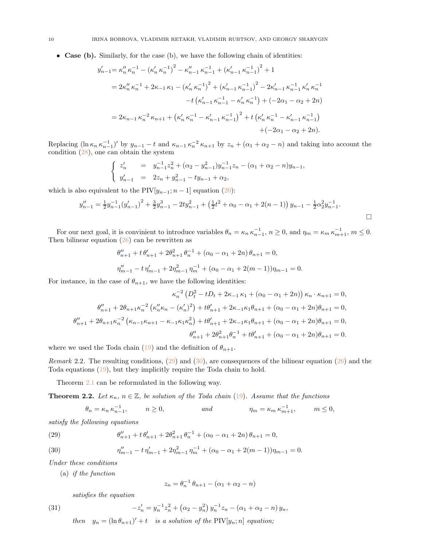• Case (b). Similarly, for the case (b), we have the following chain of identities:

$$
y'_{n-1} = \kappa''_n \kappa_n^{-1} - (\kappa'_n \kappa_n^{-1})^2 - \kappa''_{n-1} \kappa_{n-1}^{-1} + (\kappa'_{n-1} \kappa_{n-1}^{-1})^2 + 1
$$
  
\n
$$
= 2\kappa''_n \kappa_n^{-1} + 2\kappa_{-1} \kappa_1 - (\kappa'_n \kappa_n^{-1})^2 + (\kappa'_{n-1} \kappa_{n-1}^{-1})^2 - 2\kappa'_{n-1} \kappa_{n-1}^{-1} \kappa'_n \kappa_n^{-1}
$$
  
\n
$$
-t (\kappa'_{n-1} \kappa_{n-1}^{-1} - \kappa'_n \kappa_n^{-1}) + (-2\alpha_1 - \alpha_2 + 2n)
$$
  
\n
$$
= 2\kappa_{n-1} \kappa_n^{-2} \kappa_{n+1} + (\kappa'_n \kappa_n^{-1} - \kappa'_{n-1} \kappa_{n-1}^{-1})^2 + t (\kappa'_n \kappa_n^{-1} - \kappa'_{n-1} \kappa_{n-1}^{-1})
$$
  
\n
$$
+ (-2\alpha_1 - \alpha_2 + 2n).
$$

Replacing  $(\ln \kappa_n \kappa_{n-1}^{-1})'$  by  $y_{n-1} - t$  and  $\kappa_{n-1} \kappa_n^{-2} \kappa_{n+1}$  by  $z_n + (\alpha_1 + \alpha_2 - n)$  and taking into account the condition [\(28\)](#page-8-4), one can obtain the system

$$
\begin{cases}\nz'_n = y_{n-1}^{-1}z_n^2 + (\alpha_2 - y_{n-1}^2)y_{n-1}^{-1}z_n - (\alpha_1 + \alpha_2 - n)y_{n-1}, \\
y'_{n-1} = 2z_n + y_{n-1}^2 - ty_{n-1} + \alpha_2,\n\end{cases}
$$

which is also equivalent to the PIV $[y_{n-1}; n-1]$  equation [\(20\)](#page-7-1):

$$
y_{n-1}'' = \frac{1}{2}y_{n-1}^{-1}(y_{n-1}')^2 + \frac{3}{2}y_{n-1}^3 - 2ty_{n-1}^2 + \left(\frac{1}{2}t^2 + \alpha_0 - \alpha_1 + 2(n-1)\right)y_{n-1} - \frac{1}{2}\alpha_2^2y_{n-1}^{-1}.
$$

For our next goal, it is convinient to introduce variables  $\theta_n = \kappa_n \kappa_{n-1}^{-1}$ ,  $n \ge 0$ , and  $\eta_m = \kappa_m \kappa_{m+1}^{-1}$ ,  $m \le 0$ . Then bilinear equation  $(26)$  can be rewritten as

$$
\theta_{n+1}'' + t \theta_{n+1}' + 2\theta_{n+1}^2 \theta_n^{-1} + (\alpha_0 - \alpha_1 + 2n) \theta_{n+1} = 0,
$$
  

$$
\eta_{m-1}'' - t \eta_{m-1}' + 2\eta_{m-1}^2 \eta_m^{-1} + (\alpha_0 - \alpha_1 + 2(m-1))\eta_{m-1} = 0.
$$

For instance, in the case of  $\theta_{n+1}$ , we have the following identities:

$$
\kappa_n^{-2} \left( D_t^2 - t D_t + 2\kappa_{-1} \kappa_1 + (\alpha_0 - \alpha_1 + 2n) \right) \kappa_n \cdot \kappa_{n+1} = 0,
$$
  

$$
\theta''_{n+1} + 2\theta_{n+1} \kappa_n^{-2} \left( \kappa''_n \kappa_n - (\kappa'_n)^2 \right) + t\theta'_{n+1} + 2\kappa_{-1} \kappa_1 \theta_{n+1} + (\alpha_0 - \alpha_1 + 2n)\theta_{n+1} = 0,
$$
  

$$
\theta''_{n+1} + 2\theta_{n+1} \kappa_n^{-2} \left( \kappa_{n-1} \kappa_{n+1} - \kappa_{-1} \kappa_1 \kappa_n^2 \right) + t\theta'_{n+1} + 2\kappa_{-1} \kappa_1 \theta_{n+1} + (\alpha_0 - \alpha_1 + 2n)\theta_{n+1} = 0,
$$
  

$$
\theta''_{n+1} + 2\theta_{n+1}^2 \theta_n^{-1} + t\theta'_{n+1} + (\alpha_0 - \alpha_1 + 2n)\theta_{n+1} = 0.
$$

where we used the Toda chain [\(19\)](#page-7-7) and the definition of  $\theta_{n+1}$ .

Remark 2.2. The resulting conditions,  $(29)$  and  $(30)$ , are consequences of the bilinear equation  $(26)$  and the Toda equations [\(19\)](#page-7-7), but they implicitly require the Toda chain to hold.

Theorem [2.1](#page-8-1) can be reformulated in the following way.

<span id="page-9-3"></span>**Theorem 2.2.** Let  $\kappa_n$ ,  $n \in \mathbb{Z}$ , be solution of the Toda chain [\(19\)](#page-7-7). Assume that the functions

$$
\theta_n = \kappa_n \,\kappa_{n-1}^{-1}, \qquad n \ge 0, \qquad \text{and} \qquad \eta_m = \kappa_m \,\kappa_{m+1}^{-1}, \qquad m \le 0,
$$

satisfy the following equations

<span id="page-9-0"></span>(29) 
$$
\theta''_{n+1} + t \theta'_{n+1} + 2\theta_{n+1}^2 \theta_n^{-1} + (\alpha_0 - \alpha_1 + 2n) \theta_{n+1} = 0,
$$

<span id="page-9-1"></span>(30) 
$$
\eta''_{m-1} - t \eta'_{m-1} + 2\eta^2_{m-1} \eta^{-1}_m + (\alpha_0 - \alpha_1 + 2(m-1))\eta_{m-1} = 0.
$$

Under these conditions

(a) if the function

$$
z_n = \theta_n^{-1} \theta_{n+1} - (\alpha_1 + \alpha_2 - n)
$$

satisfies the equation

<span id="page-9-2"></span>(31) 
$$
-z'_{n} = y_{n}^{-1}z_{n}^{2} + (\alpha_{2} - y_{n}^{2})y_{n}^{-1}z_{n} - (\alpha_{1} + \alpha_{2} - n)y_{n},
$$
  
then  $y_{n} = (\ln \theta - y') + t_{n}$  is a solution of the DIV[*y*, *x*] equation

then  $y_n = (\ln \theta_{n+1})' + t$  is a solution of the PIV[ $y_n$ ; n] equation;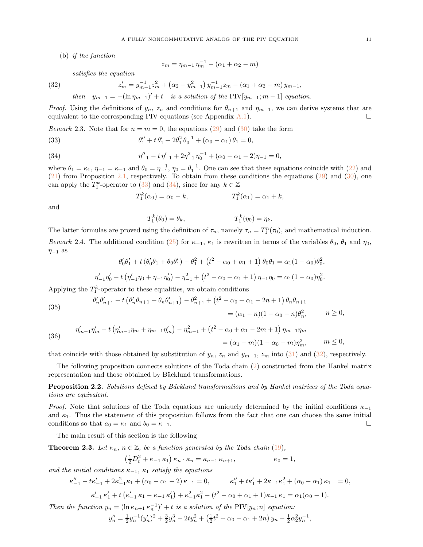(b) if the function

$$
z_m = \eta_{m-1} \eta_m^{-1} - (\alpha_1 + \alpha_2 - m)
$$

satisfies the equation

<span id="page-10-3"></span>(32) 
$$
z'_{m} = y_{m-1}^{-1} z_{m}^{2} + (\alpha_{2} - y_{m-1}^{2}) y_{m-1}^{-1} z_{m} - (\alpha_{1} + \alpha_{2} - m) y_{m-1},
$$
  
then  $y_{m-1} = -(\ln \eta_{m-1})' + t$  is a solution of the PIV[ $y_{m-1}$ ;  $m - 1$ ] equation.

*Proof.* Using the definitions of  $y_n$ ,  $z_n$  and conditions for  $\theta_{n+1}$  and  $\eta_{m-1}$ , we can derive systems that are equivalent to the corresponding PIV equations (see Appendix  $A.1$ ).

*Remark* 2.3. Note that for  $n = m = 0$ , the equations [\(29\)](#page-9-0) and [\(30\)](#page-9-1) take the form

<span id="page-10-1"></span>(33) 
$$
\theta_1'' + t \theta_1' + 2\theta_1^2 \theta_0^{-1} + (\alpha_0 - \alpha_1) \theta_1 = 0,
$$

<span id="page-10-2"></span>(34) 
$$
\eta_{-1}'' - t \eta_{-1}' + 2\eta_{-1}^2 \eta_0^{-1} + (\alpha_0 - \alpha_1 - 2)\eta_{-1} = 0,
$$

where  $\theta_1 = \kappa_1$ ,  $\eta_{-1} = \kappa_{-1}$  and  $\theta_0 = \eta_{-1}^{-1}$ ,  $\eta_0 = \theta_1^{-1}$ . One can see that these equations coincide with [\(22\)](#page-7-5) and [\(21\)](#page-7-4) from Proposition [2.1,](#page-7-6) respectively. To obtain from these conditions the equations [\(29\)](#page-9-0) and [\(30\)](#page-9-1), one can apply the  $T_1^k$ -operator to [\(33\)](#page-10-1) and [\(34\)](#page-10-2), since for any  $k \in \mathbb{Z}$ 

$$
T_1^k(\alpha_0) = \alpha_0 - k, \qquad T_1^k(\alpha_1) = \alpha_1 + k,
$$

and

$$
T_1^k(\theta_0) = \theta_k, \qquad T_1^k(\eta_0) = \eta_k.
$$

The latter formulas are proved using the definition of  $\tau_n$ , namely  $\tau_n = T_1^n(\tau_0)$ , and mathematical induction. Remark 2.4. The additional condition [\(25\)](#page-8-0) for  $\kappa_{-1}$ ,  $\kappa_1$  is rewritten in terms of the variables  $\theta_0$ ,  $\theta_1$  and  $\eta_0$ ,  $\eta_{-1}$  as

$$
\theta'_0 \theta'_1 + t \left( \theta'_0 \theta_1 + \theta_0 \theta'_1 \right) - \theta_1^2 + \left( t^2 - \alpha_0 + \alpha_1 + 1 \right) \theta_0 \theta_1 = \alpha_1 (1 - \alpha_0) \theta_0^2,
$$
  

$$
\eta'_{-1} \eta'_0 - t \left( \eta'_{-1} \eta_0 + \eta_{-1} \eta'_0 \right) - \eta_{-1}^2 + \left( t^2 - \alpha_0 + \alpha_1 + 1 \right) \eta_{-1} \eta_0 = \alpha_1 (1 - \alpha_0) \eta_0^2.
$$

Applying the  $T_1^k$ -operator to these equalities, we obtain conditions

<span id="page-10-4"></span>(35) 
$$
\begin{aligned} \theta'_n \theta'_{n+1} + t \left( \theta'_n \theta_{n+1} + \theta_n \theta'_{n+1} \right) - \theta_{n+1}^2 + \left( t^2 - \alpha_0 + \alpha_1 - 2n + 1 \right) \theta_n \theta_{n+1} \\ &= (\alpha_1 - n)(1 - \alpha_0 - n) \theta_n^2, \qquad n \ge 0, \end{aligned}
$$

<span id="page-10-5"></span>(36) 
$$
\eta'_{m-1}\eta'_{m} - t\left(\eta'_{m-1}\eta_{m} + \eta_{m-1}\eta'_{m}\right) - \eta^{2}_{m-1} + \left(t^{2} - \alpha_{0} + \alpha_{1} - 2m + 1\right)\eta_{m-1}\eta_{m}
$$

$$
= (\alpha_{1} - m)(1 - \alpha_{0} - m)\eta^{2}_{m}, \qquad m \leq 0,
$$

that coincide with those obtained by substitution of  $y_n$ ,  $z_n$  and  $y_{m-1}$ ,  $z_m$  into [\(31\)](#page-9-2) and [\(32\)](#page-10-3), respectively.

The following proposition connects solutions of the Toda chain [\(2\)](#page-2-2) constructed from the Hankel matrix representation and those obtained by Bäcklund transformations.

<span id="page-10-6"></span>Proposition 2.2. Solutions defined by Bäcklund transformations and by Hankel matrices of the Toda equations are equivalent.

*Proof.* Note that solutions of the Toda equations are uniquely determined by the initial conditions  $\kappa_{-1}$ and  $\kappa_1$ . Thus the statement of this proposition follows from the fact that one can choose the same initial conditions so that  $a_0 = \kappa_1$  and  $b_0 = \kappa_{-1}$ .

The main result of this section is the following

<span id="page-10-0"></span>**Theorem 2.3.** Let  $\kappa_n$ ,  $n \in \mathbb{Z}$ , be a function generated by the Toda chain [\(19\)](#page-7-7),

$$
\left(\frac{1}{2}D_t^2 + \kappa_{-1}\kappa_1\right)\kappa_n \cdot \kappa_n = \kappa_{n-1}\kappa_{n+1}, \qquad \kappa_0 = 1,
$$

and the initial conditions  $\kappa_{-1}$ ,  $\kappa_1$  satisfy the equations

$$
\kappa_{-1}'' - t\kappa_{-1}' + 2\kappa_{-1}^2 \kappa_1 + (\alpha_0 - \alpha_1 - 2)\kappa_{-1} = 0, \qquad \kappa_1'' + t\kappa_1' + 2\kappa_{-1}\kappa_1^2 + (\alpha_0 - \alpha_1)\kappa_1 = 0,
$$
  

$$
\kappa_{-1}' \kappa_1' + t\left(\kappa_{-1}' \kappa_1 - \kappa_{-1} \kappa_1'\right) + \kappa_{-1}^2 \kappa_1^2 - (t^2 - \alpha_0 + \alpha_1 + 1)\kappa_{-1} \kappa_1 = \alpha_1(\alpha_0 - 1).
$$

Then the function  $y_n = (\ln \kappa_{n+1} \kappa_n^{-1})' + t$  is a solution of the PIV[ $y_n$ ; n] equation:

$$
y_n'' = \frac{1}{2}y_n^{-1}(y_n')^2 + \frac{3}{2}y_n^3 - 2ty_n^2 + \left(\frac{1}{2}t^2 + \alpha_0 - \alpha_1 + 2n\right)y_n - \frac{1}{2}\alpha_2^2y_n^{-1},
$$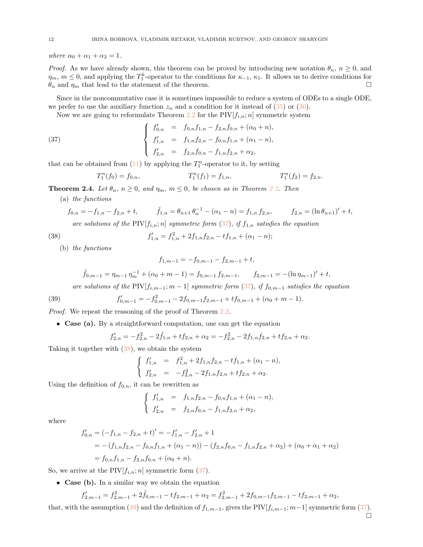where  $\alpha_0 + \alpha_1 + \alpha_2 = 1$ .

*Proof.* As we have already shown, this theorem can be proved by introducing new notation  $\theta_n$ ,  $n \geq 0$ , and  $\eta_m$ ,  $m \leq 0$ , and applying the  $T_1^k$ -operator to the conditions for  $\kappa_{-1}$ ,  $\kappa_1$ . It allows us to derive conditions for  $\theta_n$  and  $\eta_m$  that lead to the statement of the theorem.

Since in the noncommutative case it is sometimes impossible to reduce a system of ODEs to a single ODE, we prefer to use the auxiliary function  $z_n$  and a condition for it instead of [\(35\)](#page-10-4) or [\(36\)](#page-10-5).

Now we are going to reformulate Theorem [2.2](#page-9-3) for the  $\text{PIV}[f_{i,n}; n]$  symmetric system

<span id="page-11-0"></span>(37) 
$$
\begin{cases}\nf'_{0,n} = f_{0,n}f_{1,n} - f_{2,n}f_{0,n} + (\alpha_0 + n), \\
f'_{1,n} = f_{1,n}f_{2,n} - f_{0,n}f_{1,n} + (\alpha_1 - n), \\
f'_{2,n} = f_{2,n}f_{0,n} - f_{1,n}f_{2,n} + \alpha_2,\n\end{cases}
$$

that can be obtained from  $(11)$  by applying the  $T_1^n$ -operator to it, by setting

$$
T_1^n(f_0) = f_{0,n}, \qquad T_1^n(f_1) = f_{1,n}, \qquad T_1^n(f_2) = f_{2,n}.
$$

<span id="page-11-3"></span>**Theorem 2.4.** Let  $\theta_n$ ,  $n \geq 0$ , and  $\eta_m$ ,  $m \leq 0$ , be chosen as in Theorem [2.2.](#page-9-3) Then

(a) the functions

$$
f_{0,n} = -f_{1,n} - f_{2,n} + t, \qquad \tilde{f}_{1,n} = \theta_{n+1} \theta_n^{-1} - (\alpha_1 - n) = f_{1,n} f_{2,n}, \qquad f_{2,n} = (\ln \theta_{n+1})' + t,
$$

 $- n$ ;

are solutions of the PIV $[f_{i,n};n]$  symmetric form  $(37)$ , if  $f_{1,n}$  satisfies the equation

$$
f'_{1,n} = f_{1,n}^2 + 2f_{1,n}f_{2,n} - tf_{1,n} + (\alpha_1
$$

(b) the functions

<span id="page-11-1"></span> $(38)$ 

$$
f_{1,m-1} = -f_{0,m-1} - f_{2,m-1} + t,
$$

$$
\tilde{f}_{0,m-1} = \eta_{m-1} \eta_m^{-1} + (\alpha_0 + m - 1) = f_{0,m-1} f_{2,m-1}, \qquad f_{2,m-1} = -(\ln \eta_{m-1})' + t,
$$
  
are solutions of the PIV[ $f_{i,m-1}$ :  $m - 1$ ] *symmetric form* (37), *if*  $f_{0,m-1}$  *satisfies the equation*

are solutions of the 
$$
\text{TV}[j_{i,m-1}, m-1]
$$
 symmetric form (31),  $\forall j_{0,m-1}$  satisfies the equation

<span id="page-11-2"></span>(39) 
$$
f'_{0,m-1} = -f_{0,m-1}^2 - 2f_{0,m-1}f_{2,m-1} + tf_{0,m-1} + (\alpha_0 + m - 1).
$$

Proof. We repeat the reasoning of the proof of Theorem [2.2.](#page-9-3)

• Case (a). By a straightforward computation, one can get the equation

$$
f'_{2,n} = -f_{2,n}^2 - 2\tilde{f}_{1,n} + tf_{2,n} + \alpha_2 = -f_{2,n}^2 - 2f_{1,n}f_{2,n} + tf_{2,n} + \alpha_2.
$$

Taking it together with [\(38\)](#page-11-1), we obtain the system

$$
\begin{cases}\nf'_{1,n} = f_{1,n}^2 + 2f_{1,n}f_{2,n} - tf_{1,n} + (\alpha_1 - n), \\
f'_{2,n} = -f_{2,n}^2 - 2f_{1,n}f_{2,n} + tf_{2,n} + \alpha_2.\n\end{cases}
$$

Using the definition of  $f_{0,n}$ , it can be rewritten as

$$
\begin{cases}\nf'_{1,n} = f_{1,n}f_{2,n} - f_{0,n}f_{1,n} + (\alpha_1 - n), \\
f'_{2,n} = f_{2,n}f_{0,n} - f_{1,n}f_{2,n} + \alpha_2,\n\end{cases}
$$

where

$$
f'_{0,n} = (-f_{1,n} - f_{2,n} + t)' = -f'_{1,n} - f'_{2,n} + 1
$$
  
= -(f\_{1,n}f\_{2,n} - f\_{0,n}f\_{1,n} + (\alpha\_1 - n)) - (f\_{2,n}f\_{0,n} - f\_{1,n}f\_{2,n} + \alpha\_2) + (\alpha\_0 + \alpha\_1 + \alpha\_2)  
= f\_{0,n}f\_{1,n} - f\_{2,n}f\_{0,n} + (\alpha\_0 + n).

So, we arrive at the PIV $[f_{i,n}; n]$  symmetric form  $(37)$ .

• Case (b). In a similar way we obtain the equation

$$
f'_{2,m-1} = f_{2,m-1}^2 + 2\tilde{f}_{0,m-1} - tf_{2,m-1} + \alpha_2 = f_{2,m-1}^2 + 2f_{0,m-1}f_{2,m-1} - tf_{2,m-1} + \alpha_2,
$$

that, with the assumption [\(39\)](#page-11-2) and the definition of  $f_{1,m-1}$ , gives the PIV $[f_{i,m-1}; m-1]$  symmetric form [\(37\)](#page-11-0).  $\Box$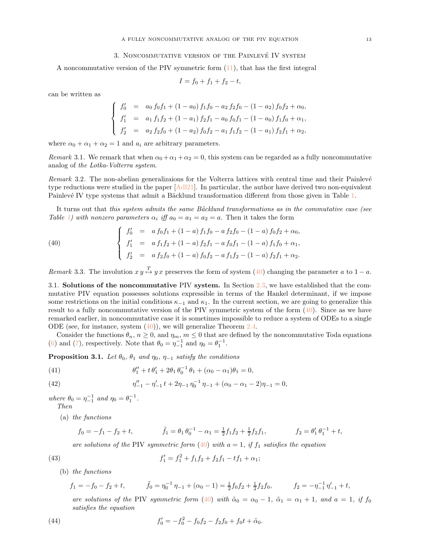# 3. NONCOMMUTATIVE VERSION OF THE PAINLEVÉ IV SYSTEM

<span id="page-12-9"></span><span id="page-12-0"></span>A noncommutative version of the PIV symmetric form [\(11\)](#page-5-2), that has the first integral

$$
I = f_0 + f_1 + f_2 - t,
$$

can be written as

$$
\begin{cases}\nf'_0 = a_0 f_0 f_1 + (1 - a_0) f_1 f_0 - a_2 f_2 f_0 - (1 - a_2) f_0 f_2 + \alpha_0, \\
f'_1 = a_1 f_1 f_2 + (1 - a_1) f_2 f_1 - a_0 f_0 f_1 - (1 - a_0) f_1 f_0 + \alpha_1, \\
f'_2 = a_2 f_2 f_0 + (1 - a_2) f_0 f_2 - a_1 f_1 f_2 - (1 - a_1) f_2 f_1 + \alpha_2,\n\end{cases}
$$

where  $\alpha_0 + \alpha_1 + \alpha_2 = 1$  and  $a_i$  are arbitrary parameters.

Remark 3.1. We remark that when  $\alpha_0 + \alpha_1 + \alpha_2 = 0$ , this system can be regarded as a fully noncommutative analog of the Lotka-Volterra system.

Remark 3.2. The non-abelian generalizaions for the Volterra lattices with central time and their Painlevé type reductions were studied in the paper [\[Adl21\]](#page-21-17). In particular, the author have derived two non-equivalent Painlevé IV type systems that admit a Bäcklund transformation different from those given in Table [1.](#page-5-0)

It turns out that this system admits the same Bäcklund transformations as in the commutative case (see Table [1\)](#page-5-0) with nonzero parameters  $\alpha_i$  iff  $a_0 = a_1 = a_2 = a$ . Then it takes the form

<span id="page-12-2"></span>(40) 
$$
\begin{cases}\nf'_0 = a f_0 f_1 + (1 - a) f_1 f_0 - a f_2 f_0 - (1 - a) f_0 f_2 + \alpha_0, \\
f'_1 = a f_1 f_2 + (1 - a) f_2 f_1 - a f_0 f_1 - (1 - a) f_1 f_0 + \alpha_1, \\
f'_2 = a f_2 f_0 + (1 - a) f_0 f_2 - a f_1 f_2 - (1 - a) f_2 f_1 + \alpha_2.\n\end{cases}
$$

<span id="page-12-8"></span><span id="page-12-1"></span>Remark 3.3. The involution  $x y \stackrel{T}{\mapsto} y x$  preserves the form of system [\(40\)](#page-12-2) changing the parameter a to  $1 - a$ .

3.1. Solutions of the noncommutative PIV system. In Section [2.3,](#page-7-0) we have established that the commutative PIV equation possesses solutions expressible in terms of the Hankel determinant, if we impose some restrictions on the initial conditions  $\kappa_{-1}$  and  $\kappa_{1}$ . In the current section, we are going to generalize this result to a fully noncommutative version of the PIV symmetric system of the form [\(40\)](#page-12-2). Since as we have remarked earlier, in noncommutative case it is sometimes impossible to reduce a system of ODEs to a single ODE (see, for instance, system  $(40)$ ), we will generalize Theorem [2.4.](#page-11-3)

Consider the functions  $\theta_n$ ,  $n \geq 0$ , and  $\eta_m$ ,  $m \leq 0$  that are defined by the noncommutative Toda equations [\(6\)](#page-4-1) and [\(7\)](#page-4-2), respectively. Note that  $\theta_0 = \eta_{-1}^{-1}$  and  $\eta_0 = \theta_1^{-1}$ .

<span id="page-12-7"></span>**Proposition 3.1.** Let  $\theta_0$ ,  $\theta_1$  and  $\eta_0$ ,  $\eta_{-1}$  satisfy the conditions

<span id="page-12-3"></span>(41) 
$$
\theta_1'' + t \theta_1' + 2\theta_1 \theta_0^{-1} \theta_1 + (\alpha_0 - \alpha_1)\theta_1 = 0,
$$

<span id="page-12-4"></span>(42) 
$$
\eta''_{-1} - \eta'_{-1} t + 2\eta_{-1} \eta_0^{-1} \eta_{-1} + (\alpha_0 - \alpha_1 - 2)\eta_{-1} = 0,
$$

where  $\theta_0 = \eta_{-1}^{-1}$  and  $\eta_0 = \theta_1^{-1}$ . Then

(a) the functions

$$
f_0 = -f_1 - f_2 + t, \qquad \tilde{f}_1 = \theta_1 \theta_0^{-1} - \alpha_1 = \frac{1}{2} f_1 f_2 + \frac{1}{2} f_2 f_1, \qquad f_2 = \theta_1' \theta_1^{-1} + t,
$$

are solutions of the PIV symmetric form  $(40)$  with  $a = 1$ , if  $f_1$  satisfies the equation

<span id="page-12-5"></span>(43) 
$$
f'_1 = f_1^2 + f_1 f_2 + f_2 f_1 - t f_1 + \alpha_1;
$$

(b) the functions

$$
f_1 = -f_0 - f_2 + t, \qquad \tilde{f}_0 = \eta_0^{-1} \eta_{-1} + (\alpha_0 - 1) = \frac{1}{2} f_0 f_2 + \frac{1}{2} f_2 f_0, \qquad f_2 = -\eta_{-1}^{-1} \eta_{-1}' + t,
$$

are solutions of the PIV symmetric form [\(40\)](#page-12-2) with  $\tilde{\alpha}_0 = \alpha_0 - 1$ ,  $\tilde{\alpha}_1 = \alpha_1 + 1$ , and  $a = 1$ , if form satisfies the equation

<span id="page-12-6"></span>(44) 
$$
f'_0 = -f_0^2 - f_0f_2 - f_2f_0 + f_0t + \tilde{\alpha}_0.
$$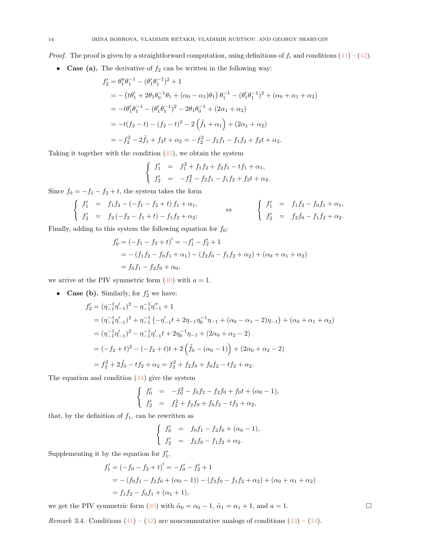*Proof.* The proof is given by a straightforward computation, using definitions of  $f_i$  and conditions [\(41\)](#page-12-3) – [\(42\)](#page-12-4).

• Case (a). The derivative of  $f_2$  can be written in the following way:

$$
f'_2 = \theta''_1 \theta_1^{-1} - (\theta'_1 \theta_1^{-1})^2 + 1
$$
  
=  $-(t\theta'_1 + 2\theta_1 \theta_0^{-1} \theta_1 + (\alpha_0 - \alpha_1)\theta_1) \theta_1^{-1} - (\theta'_1 \theta_1^{-1})^2 + (\alpha_0 + \alpha_1 + \alpha_2)$   
=  $-t\theta'_1 \theta_1^{-1} - (\theta'_1 \theta_1^{-1})^2 - 2\theta_1 \theta_0^{-1} + (2\alpha_1 + \alpha_2)$   
=  $-t(f_2 - t) - (f_2 - t)^2 - 2(\tilde{f}_1 + \alpha_1) + (2\alpha_1 + \alpha_2)$   
=  $-f_2^2 - 2\tilde{f}_1 + f_2 t + \alpha_2 = -f_2^2 - f_2 f_1 - f_1 f_2 + f_2 t + \alpha_2.$ 

Taking it together with the condition [\(43\)](#page-12-5), we obtain the system

$$
\begin{cases}\nf'_1 = f_1^2 + f_1f_2 + f_2f_1 - tf_1 + \alpha_1, \\
f'_2 = -f_2^2 - f_2f_1 - f_1f_2 + f_2t + \alpha_2.\n\end{cases}
$$

Since  $f_0 = -f_1 - f_2 + t$ , the system takes the form

$$
\begin{cases}\n f_1' &= f_1 f_2 - (-f_1 - f_2 + t) f_1 + \alpha_1, \\
 f_2' &= f_2 (-f_2 - f_1 + t) - f_1 f_2 + \alpha_2;\n\end{cases}\n\Leftrightarrow\n\begin{cases}\n f_1' &= f_1 f_2 - f_0 f_1 + \alpha_1, \\
 f_2' &= f_2 f_0 - f_1 f_2 + \alpha_2.\n\end{cases}
$$

Finally, adding to this system the following equation for  $f_0$ :

$$
f'_0 = (-f_1 - f_2 + t)' = -f'_1 - f'_2 + 1
$$
  
= -(f\_1f\_2 - f\_0f\_1 + \alpha\_1) - (f\_2f\_0 - f\_1f\_2 + \alpha\_2) + (\alpha\_0 + \alpha\_1 + \alpha\_2)  
= f\_0f\_1 - f\_2f\_0 + \alpha\_0,

we arrive at the PIV symmetric form  $(40)$  with  $a = 1$ .

• Case (b). Similarly, for  $f_2'$  we have:

$$
f'_{2} = (\eta_{-1}^{-1}\eta'_{-1})^{2} - \eta_{-1}^{-1}\eta''_{-1} + 1
$$
  
\n
$$
= (\eta_{-1}^{-1}\eta'_{-1})^{2} + \eta_{-1}^{-1}(-\eta'_{-1}t + 2\eta_{-1}\eta_{0}^{-1}\eta_{-1} + (\alpha_{0} - \alpha_{1} - 2)\eta_{-1}) + (\alpha_{0} + \alpha_{1} + \alpha_{2})
$$
  
\n
$$
= (\eta_{-1}^{-1}\eta'_{-1})^{2} - \eta_{-1}^{-1}\eta'_{-1}t + 2\eta_{0}^{-1}\eta_{-1} + (2\alpha_{0} + \alpha_{2} - 2)
$$
  
\n
$$
= (-f_{2} + t)^{2} - (-f_{2} + t)t + 2(\tilde{f}_{0} - (\alpha_{0} - 1)) + (2\alpha_{0} + \alpha_{2} - 2)
$$
  
\n
$$
= f_{2}^{2} + 2\tilde{f}_{0} - tf_{2} + \alpha_{2} = f_{2}^{2} + f_{2}f_{0} + f_{0}f_{2} - tf_{2} + \alpha_{2}.
$$

The equation and condition [\(44\)](#page-12-6) give the system

$$
\begin{cases}\nf'_0 = -f_0^2 - f_0f_2 - f_2f_0 + f_0t + (\alpha_0 - 1), \\
f'_2 = f_2^2 + f_2f_0 + f_0f_2 - tf_2 + \alpha_2,\n\end{cases}
$$

that, by the definition of  $f_1$ , can be rewritten as

$$
\begin{cases}\nf'_0 = f_0f_1 - f_2f_0 + (\alpha_0 - 1), \\
f'_2 = f_2f_0 - f_1f_2 + \alpha_2.\n\end{cases}
$$

Supplementing it by the equation for  $f'_1$ ,

$$
f'_1 = (-f_0 - f_2 + t)' = -f'_0 - f'_2 + 1
$$
  
= -(f\_0f\_1 - f\_2f\_0 + (\alpha\_0 - 1)) - (f\_2f\_0 - f\_1f\_2 + \alpha\_2) + (\alpha\_0 + \alpha\_1 + \alpha\_2)  
= f\_1f\_2 - f\_0f\_1 + (\alpha\_1 + 1),

we get the PIV symmetric form [\(40\)](#page-12-2) with  $\tilde{\alpha}_0 = \alpha_0 - 1$ ,  $\tilde{\alpha}_1 = \alpha_1 + 1$ , and  $a = 1$ .

*Remark* 3.4. Conditions  $(41) - (42)$  $(41) - (42)$  are noncommutative analogs of conditions  $(33) - (34)$  $(33) - (34)$ .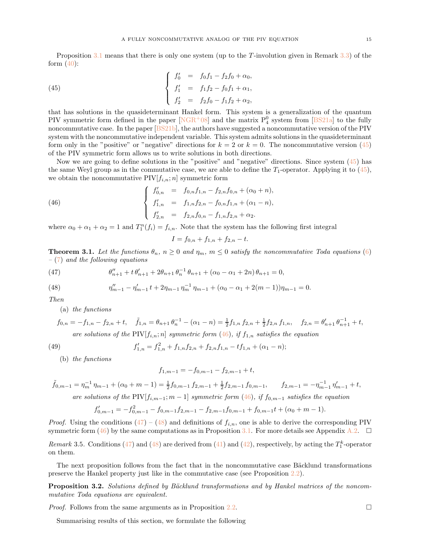<span id="page-14-6"></span>Proposition [3.1](#page-12-7) means that there is only one system (up to the T-involution given in Remark [3.3\)](#page-12-8) of the form  $(40)$ :

<span id="page-14-0"></span>(45) 
$$
\begin{cases}\nf'_0 = f_0 f_1 - f_2 f_0 + \alpha_0, \\
f'_1 = f_1 f_2 - f_0 f_1 + \alpha_1, \\
f'_2 = f_2 f_0 - f_1 f_2 + \alpha_2,\n\end{cases}
$$

that has solutions in the quasideterminant Hankel form. This system is a generalization of the quantum PIV symmetric form defined in the paper  $[NGR^+08]$  and the matrix  $P_4^0$  system from [\[BS21a\]](#page-21-13) to the fully noncommutative case. In the paper [\[BS21b\]](#page-21-14), the authors have suggested a noncommutative version of the PIV system with the noncommutative independent variable. This system admits solutions in the quasideterminant form only in the "positive" or "negative" directions for  $k = 2$  or  $k = 0$ . The noncommutative version [\(45\)](#page-14-0) of the PIV symmetric form allows us to write solutions in both directions.

Now we are going to define solutions in the "positive" and "negative" directions. Since system [\(45\)](#page-14-0) has the same Weyl group as in the commutative case, we are able to define the  $T_1$ -operator. Applying it to [\(45\)](#page-14-0), we obtain the noncommutative  $\text{PIV}[f_{i,n}; n]$  symmetric form

<span id="page-14-1"></span>(46) 
$$
\begin{cases}\nf'_{0,n} = f_{0,n}f_{1,n} - f_{2,n}f_{0,n} + (\alpha_0 + n), \\
f'_{1,n} = f_{1,n}f_{2,n} - f_{0,n}f_{1,n} + (\alpha_1 - n), \\
f'_{2,n} = f_{2,n}f_{0,n} - f_{1,n}f_{2,n} + \alpha_2.\n\end{cases}
$$

where  $\alpha_0 + \alpha_1 + \alpha_2 = 1$  and  $T_1^n(f_i) = f_{i,n}$ . Note that the system has the following first integral

$$
I = f_{0,n} + f_{1,n} + f_{2,n} - t.
$$

<span id="page-14-4"></span>**Theorem 3.1.** Let the functions  $\theta_n$ ,  $n \geq 0$  and  $\eta_m$ ,  $m \leq 0$  satisfy the noncommutative Toda equations [\(6\)](#page-4-1)  $-$  [\(7\)](#page-4-2) and the following equations

<span id="page-14-2"></span>(47) 
$$
\theta''_{n+1} + t \theta'_{n+1} + 2\theta_{n+1} \theta_n^{-1} \theta_{n+1} + (\alpha_0 - \alpha_1 + 2n) \theta_{n+1} = 0,
$$

<span id="page-14-3"></span>(48) 
$$
\eta''_{m-1} - \eta'_{m-1} t + 2\eta_{m-1} \eta_m^{-1} \eta_{m-1} + (\alpha_0 - \alpha_1 + 2(m-1))\eta_{m-1} = 0.
$$

Then

(a) the functions

$$
f_{0,n} = -f_{1,n} - f_{2,n} + t, \quad \tilde{f}_{1,n} = \theta_{n+1} \theta_n^{-1} - (\alpha_1 - n) = \frac{1}{2} f_{1,n} f_{2,n} + \frac{1}{2} f_{2,n} f_{1,n}, \quad f_{2,n} = \theta_{n+1}' \theta_{n+1}^{-1} + t,
$$
  
are solutions of the PIV[ $f_{i,n}$ ; n] symmetric form (46), if  $f_{1,n}$  satisfies the equation

<span id="page-14-5"></span>(49) 
$$
f'_{1,n} = f_{1,n}^2 + f_{1,n}f_{2,n} + f_{2,n}f_{1,n} - tf_{1,n} + (\alpha_1 - n);
$$

(b) the functions

$$
f_{1,m-1} = -f_{0,m-1} - f_{2,m-1} + t,
$$

$$
\tilde{f}_{0,m-1} = \eta_m^{-1} \eta_{m-1} + (\alpha_0 + m - 1) = \frac{1}{2} f_{0,m-1} f_{2,m-1} + \frac{1}{2} f_{2,m-1} f_{0,m-1}, \qquad f_{2,m-1} = -\eta_{m-1}^{-1} \eta'_{m-1} + t,
$$
\nare solutions of the PIV

\n
$$
[f_{i,m-1}; m-1]
$$
\nsymmetric form (46), if  $f_{0,m-1}$  satisfies the equation

$$
f'_{0,m-1} = -f_{0,m-1}^2 - f_{0,m-1}f_{2,m-1} - f_{2,m-1}f_{0,m-1} + f_{0,m-1}t + (\alpha_0 + m - 1).
$$

*Proof.* Using the conditions  $(47) - (48)$  $(47) - (48)$  and definitions of  $f_{i,n}$ , one is able to derive the corresponding PIV symmetric form [\(46\)](#page-14-1) by the same computations as in Proposition [3.1.](#page-12-7) For more details see Appendix [A.2.](#page-19-0)  $\Box$ 

Remark 3.5. Conditions [\(47\)](#page-14-2) and [\(48\)](#page-14-3) are derived from [\(41\)](#page-12-3) and [\(42\)](#page-12-4), respectively, by acting the  $T_1^k$ -operator on them.

The next proposition follows from the fact that in the noncommutative case Bäcklund transformations preserve the Hankel property just like in the commutative case (see Proposition [2.2\)](#page-10-6).

**Proposition 3.2.** Solutions defined by Bäcklund transformations and by Hankel matrices of the noncommutative Toda equations are equivalent.

*Proof.* Follows from the same arguments as in Proposition [2.2.](#page-10-6)  $\Box$ 

Summarising results of this section, we formulate the following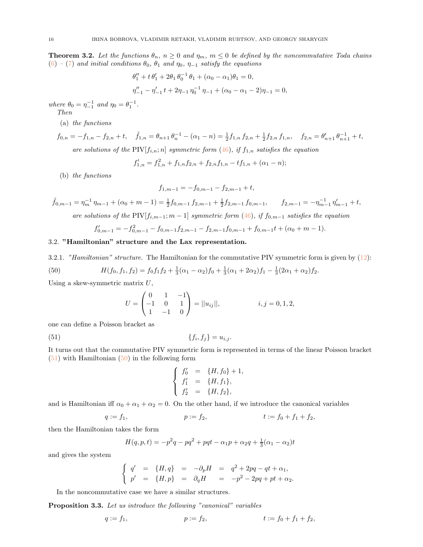<span id="page-15-0"></span>**Theorem 3.2.** Let the functions  $\theta_n$ ,  $n \geq 0$  and  $\eta_m$ ,  $m \leq 0$  be defined by the noncommutative Toda chains [\(6\)](#page-4-1) – [\(7\)](#page-4-2) and initial conditions  $\theta_0$ ,  $\theta_1$  and  $\eta_0$ ,  $\eta_{-1}$  satisfy the equations

$$
\theta_1'' + t \theta_1' + 2\theta_1 \theta_0^{-1} \theta_1 + (\alpha_0 - \alpha_1)\theta_1 = 0,
$$
  

$$
\eta_{-1}'' - \eta_{-1}' t + 2\eta_{-1} \eta_0^{-1} \eta_{-1} + (\alpha_0 - \alpha_1 - 2)\eta_{-1} = 0,
$$

where  $\theta_0 = \eta_{-1}^{-1}$  and  $\eta_0 = \theta_1^{-1}$ . Then

(a) the functions

$$
f_{0,n} = -f_{1,n} - f_{2,n} + t, \quad \tilde{f}_{1,n} = \theta_{n+1} \theta_n^{-1} - (\alpha_1 - n) = \frac{1}{2} f_{1,n} f_{2,n} + \frac{1}{2} f_{2,n} f_{1,n}, \quad f_{2,n} = \theta'_{n+1} \theta_{n+1}^{-1} + t,
$$
  
are solutions of the PIV $[f_{i,n}; n]$  symmetric form (46), if  $f_{1,n}$  satisfies the equation

$$
f'_{1,n} = f_{1,n}^2 + f_{1,n}f_{2,n} + f_{2,n}f_{1,n} - tf_{1,n} + (\alpha_1 - n);
$$

(b) the functions

$$
f_{1,m-1} = -f_{0,m-1} - f_{2,m-1} + t,
$$

$$
\tilde{f}_{0,m-1} = \eta_m^{-1} \eta_{m-1} + (\alpha_0 + m - 1) = \frac{1}{2} f_{0,m-1} f_{2,m-1} + \frac{1}{2} f_{2,m-1} f_{0,m-1}, \qquad f_{2,m-1} = -\eta_{m-1}^{-1} \eta'_{m-1} + t,
$$
\nare solutions of the PIV [f<sub>i,m-1</sub>; m-1] symmetric form (46), if f<sub>0,m-1</sub> satisfies the equation

$$
f'_{0,m-1} = -f_{0,m-1}^2 - f_{0,m-1}f_{2,m-1} - f_{2,m-1}f_{0,m-1} + f_{0,m-1}t + (\alpha_0 + m - 1).
$$

# <span id="page-15-1"></span>3.2. "Hamiltonian" structure and the Lax representation.

3.2.1. "Hamiltonian" structure. The Hamiltonian for the commutative PIV symmetric form is given by  $(12)$ :

<span id="page-15-3"></span>(50) 
$$
H(f_0, f_1, f_2) = f_0 f_1 f_2 + \frac{1}{3} (\alpha_1 - \alpha_2) f_0 + \frac{1}{3} (\alpha_1 + 2\alpha_2) f_1 - \frac{1}{3} (2\alpha_1 + \alpha_2) f_2.
$$

Using a skew-symmetric matrix  $U$ ,

$$
U = \begin{pmatrix} 0 & 1 & -1 \\ -1 & 0 & 1 \\ 1 & -1 & 0 \end{pmatrix} = ||u_{ij}||, \qquad i, j = 0, 1, 2,
$$

one can define a Poisson bracket as

<span id="page-15-2"></span>
$$
(51) \qquad \{f_i, f_j\} = u_{i,j}.
$$

It turns out that the commutative PIV symmetric form is represented in terms of the linear Poisson bracket  $(51)$  with Hamiltonian  $(50)$  in the following form

$$
\begin{cases}\nf'_0 = \{H, f_0\} + 1, \\
f'_1 = \{H, f_1\}, \\
f'_2 = \{H, f_2\},\n\end{cases}
$$

and is Hamiltonian iff  $\alpha_0 + \alpha_1 + \alpha_2 = 0$ . On the other hand, if we introduce the canonical variables

$$
q := f_1, \qquad \qquad p := f_2, \qquad \qquad t := f_0 + f_1 + f_2,
$$

then the Hamiltonian takes the form

$$
H(q, p, t) = -p^{2}q - pq^{2} + pqt - \alpha_{1}p + \alpha_{2}q + \frac{1}{3}(\alpha_{1} - \alpha_{2})t
$$

and gives the system

$$
\begin{cases}\n q' &= \{H, q\} = -\partial_p H = q^2 + 2pq - qt + \alpha_1, \\
 p' &= \{H, p\} = \partial_q H = -p^2 - 2pq + pt + \alpha_2.\n\end{cases}
$$

In the noncommutative case we have a similar structures.

Proposition 3.3. Let us introduce the following "canonical" variables

$$
q := f_1, \qquad \qquad p := f_2, \qquad \qquad t := f_0 + f_1 + f_2,
$$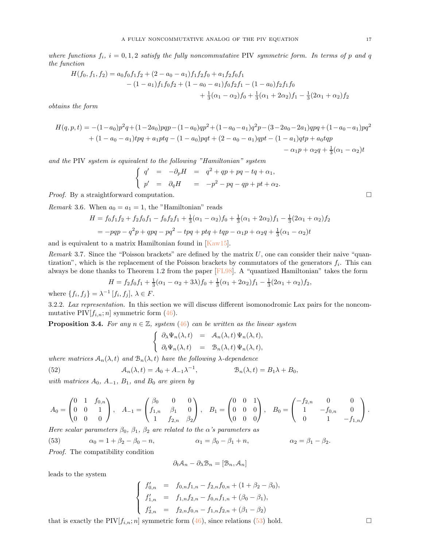<span id="page-16-3"></span>where functions  $f_i$ ,  $i = 0, 1, 2$  satisfy the fully noncommutative PIV symmetric form. In terms of p and q the function

$$
H(f_0, f_1, f_2) = a_0 f_0 f_1 f_2 + (2 - a_0 - a_1) f_1 f_2 f_0 + a_1 f_2 f_0 f_1
$$
  

$$
- (1 - a_1) f_1 f_0 f_2 + (1 - a_0 - a_1) f_0 f_2 f_1 - (1 - a_0) f_2 f_1 f_0
$$
  

$$
+ \frac{1}{3} (\alpha_1 - \alpha_2) f_0 + \frac{1}{3} (\alpha_1 + 2\alpha_2) f_1 - \frac{1}{3} (2\alpha_1 + \alpha_2) f_2
$$

obtains the form

$$
H(q, p, t) = -(1 - a_0)p^2q + (1 - 2a_0)pqp - (1 - a_0)qp^2 + (1 - a_0 - a_1)q^2p - (3 - 2a_0 - 2a_1)qpq + (1 - a_0 - a_1)pq^2
$$
  
+  $(1 - a_0 - a_1)tpq + a_1ptq - (1 - a_0)pqt + (2 - a_0 - a_1)qpt - (1 - a_1)qtp + a_0tqp$   
-  $\alpha_1p + \alpha_2q + \frac{1}{3}(\alpha_1 - \alpha_2)t$ 

and the PIV system is equivalent to the following "Hamiltonian" system

$$
\begin{cases}\n q' &= -\partial_p H = q^2 + qp + pq - tq + \alpha_1, \\
 p' &= \partial_q H = -p^2 - pq - qp + pt + \alpha_2.\n\end{cases}
$$

*Proof.* By a straightforward computation.  $\square$ 

*Remark* 3.6. When  $a_0 = a_1 = 1$ , the "Hamiltonian" reads

$$
H = f_0 f_1 f_2 + f_2 f_0 f_1 - f_0 f_2 f_1 + \frac{1}{3} (\alpha_1 - \alpha_2) f_0 + \frac{1}{3} (\alpha_1 + 2\alpha_2) f_1 - \frac{1}{3} (2\alpha_1 + \alpha_2) f_2
$$
  
=  $-pqp - q^2p + qpq - pq^2 - tpq + ptq + tap - \alpha_1 p + \alpha_2 q + \frac{1}{3} (\alpha_1 - \alpha_2) t$ 

and is equivalent to a matrix Hamiltonian found in [\[Kaw15\]](#page-21-21).

Remark 3.7. Since the "Poisson brackets" are defined by the matrix  $U$ , one can consider their naive "quantization", which is the replacement of the Poisson brackets by commutators of the generators  $f_i$ . This can always be done thanks to Theorem 1.2 from the paper [\[FL98\]](#page-21-22). A "quantized Hamiltonian" takes the form

$$
H = f_2 f_0 f_1 + \frac{1}{3} (\alpha_1 - \alpha_2 + 3\lambda) f_0 + \frac{1}{3} (\alpha_1 + 2\alpha_2) f_1 - \frac{1}{3} (2\alpha_1 + \alpha_2) f_2,
$$
  
<sup>1</sup> [f, f]  $\rightarrow$  F

<span id="page-16-0"></span>where  $\{f_i, f_j\} = \lambda^{-1} [f_i, f_j], \lambda \in F$ .

3.2.2. Lax representation. In this section we will discuss different isomonodromic Lax pairs for the noncommutative PIV $[f_{i,n}; n]$  symmetric form  $(46)$ .

**Proposition 3.4.** For any  $n \in \mathbb{Z}$ , system [\(46\)](#page-14-1) can be written as the linear system

$$
\begin{cases}\n\partial_{\lambda} \Psi_n(\lambda, t) = \mathcal{A}_n(\lambda, t) \Psi_n(\lambda, t), \\
\partial_t \Psi_n(\lambda, t) = \mathcal{B}_n(\lambda, t) \Psi_n(\lambda, t),\n\end{cases}
$$

where matrices  $A_n(\lambda, t)$  and  $B_n(\lambda, t)$  have the following  $\lambda$ -dependence

<span id="page-16-2"></span>(52) 
$$
\mathcal{A}_n(\lambda, t) = A_0 + A_{-1} \lambda^{-1}, \qquad \mathcal{B}_n(\lambda, t) = B_1 \lambda + B_0,
$$

with matrices  $A_0$ ,  $A_{-1}$ ,  $B_1$ , and  $B_0$  are given by

$$
A_0 = \begin{pmatrix} 0 & 1 & f_{0,n} \\ 0 & 0 & 1 \\ 0 & 0 & 0 \end{pmatrix}, \quad A_{-1} = \begin{pmatrix} \beta_0 & 0 & 0 \\ f_{1,n} & \beta_1 & 0 \\ 1 & f_{2,n} & \beta_2 \end{pmatrix}, \quad B_1 = \begin{pmatrix} 0 & 0 & 1 \\ 0 & 0 & 0 \\ 0 & 0 & 0 \end{pmatrix}, \quad B_0 = \begin{pmatrix} -f_{2,n} & 0 & 0 \\ 1 & -f_{0,n} & 0 \\ 0 & 1 & -f_{1,n} \end{pmatrix}.
$$

Here scalar parameters  $\beta_0$ ,  $\beta_1$ ,  $\beta_2$  are related to the  $\alpha$ 's parameters as

<span id="page-16-1"></span>(53) 
$$
\alpha_0 = 1 + \beta_2 - \beta_0 - n,
$$
  $\alpha_1 = \beta_0 - \beta_1 + n,$   $\alpha_2 = \beta_1 - \beta_2.$ 

Proof. The compatibility condition

$$
\partial_t \mathcal{A}_n - \partial_\lambda \mathcal{B}_n = [\mathcal{B}_n, \mathcal{A}_n]
$$

leads to the system

$$
\begin{cases}\nf'_{0,n} = f_{0,n}f_{1,n} - f_{2,n}f_{0,n} + (1 + \beta_2 - \beta_0), \\
f'_{1,n} = f_{1,n}f_{2,n} - f_{0,n}f_{1,n} + (\beta_0 - \beta_1), \\
f'_{2,n} = f_{2,n}f_{0,n} - f_{1,n}f_{2,n} + (\beta_1 - \beta_2)\n\end{cases}
$$

that is exactly the PIV $[f_{i,n}; n]$  symmetric form  $(46)$ , since relations  $(53)$  hold.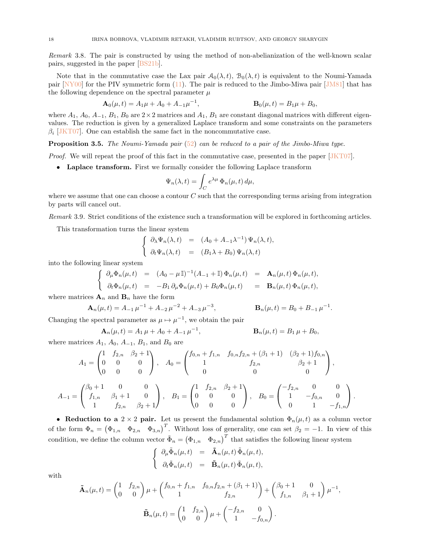<span id="page-17-0"></span>Remark 3.8. The pair is constructed by using the method of non-abelianization of the well-known scalar pairs, suggested in the paper [\[BS21b\]](#page-21-14).

Note that in the commutative case the Lax pair  $A_0(\lambda, t)$ ,  $B_0(\lambda, t)$  is equivalent to the Noumi-Yamada pair [\[NY00\]](#page-21-11) for the PIV symmetric form [\(11\)](#page-5-2). The pair is reduced to the Jimbo-Miwa pair [\[JM81\]](#page-21-23) that has the following dependence on the spectral parameter  $\mu$ 

$$
\mathbf{A}_0(\mu, t) = A_1 \mu + A_0 + A_{-1} \mu^{-1}, \qquad \qquad \mathbf{B}_0(\mu, t) = B_1 \mu + B_0,
$$

where  $A_1$ ,  $A_0$ ,  $A_{-1}$ ,  $B_1$ ,  $B_0$  are  $2\times 2$  matrices and  $A_1$ ,  $B_1$  are constant diagonal matrices with different eigenvalues. The reduction is given by a generalized Laplace transform and some constraints on the parameters  $\beta_i$  [\[JKT07\]](#page-21-24). One can establish the same fact in the noncommutative case.

**Proposition 3.5.** The Noumi-Yamada pair  $(52)$  can be reduced to a pair of the Jimbo-Miwa type.

Proof. We will repeat the proof of this fact in the commutative case, presented in the paper [\[JKT07\]](#page-21-24).

• Laplace transform. First we formally consider the following Laplace transform

$$
\Psi_n(\lambda, t) = \int_C e^{\lambda \mu} \Phi_n(\mu, t) d\mu,
$$

where we assume that one can choose a contour  $C$  such that the corresponding terms arising from integration by parts will cancel out.

Remark 3.9. Strict conditions of the existence such a transformation will be explored in forthcoming articles.

This transformation turns the linear system

$$
\begin{cases}\n\partial_{\lambda} \Psi_n(\lambda, t) = (A_0 + A_{-1} \lambda^{-1}) \Psi_n(\lambda, t), \\
\partial_t \Psi_n(\lambda, t) = (B_1 \lambda + B_0) \Psi_n(\lambda, t)\n\end{cases}
$$

into the following linear system

$$
\begin{cases}\n\partial_{\mu}\Phi_n(\mu,t) = (A_0 - \mu \mathbb{I})^{-1}(A_{-1} + \mathbb{I})\Phi_n(\mu,t) = \mathbf{A}_n(\mu,t)\Phi_n(\mu,t), \\
\partial_t\Phi_n(\mu,t) = -B_1 \partial_{\mu}\Phi_n(\mu,t) + B_0 \Phi_n(\mu,t) = \mathbf{B}_n(\mu,t)\Phi_n(\mu,t),\n\end{cases}
$$

where matrices  $\mathbf{A}_n$  and  $\mathbf{B}_n$  have the form

$$
\mathbf{A}_n(\mu, t) = A_{-1} \mu^{-1} + A_{-2} \mu^{-2} + A_{-3} \mu^{-3}, \qquad \qquad \mathbf{B}_n(\mu, t) = B_0 + B_{-1} \mu^{-1}.
$$

Changing the spectral parameter as  $\mu \mapsto \mu^{-1}$ , we obtain the pair

$$
\mathbf{A}_n(\mu, t) = A_1 \mu + A_0 + A_{-1} \mu^{-1}, \qquad \qquad \mathbf{B}_n(\mu, t) = B_1 \mu + B_0,
$$

where matrices  $A_1$ ,  $A_0$ ,  $A_{-1}$ ,  $B_1$ , and  $B_0$  are

$$
A_1 = \begin{pmatrix} 1 & f_{2,n} & \beta_2 + 1 \\ 0 & 0 & 0 \\ 0 & 0 & 0 \end{pmatrix}, \quad A_0 = \begin{pmatrix} f_{0,n} + f_{1,n} & f_{0,n}f_{2,n} + (\beta_1 + 1) & (\beta_2 + 1)f_{0,n} \\ 1 & f_{2,n} & \beta_2 + 1 \\ 0 & 0 & 0 \end{pmatrix},
$$

$$
A_{-1} = \begin{pmatrix} \beta_0 + 1 & 0 & 0 \\ f_{1,n} & \beta_1 + 1 & 0 \\ 1 & f_{2,n} & \beta_2 + 1 \end{pmatrix}, \quad B_1 = \begin{pmatrix} 1 & f_{2,n} & \beta_2 + 1 \\ 0 & 0 & 0 \\ 0 & 0 & 0 \end{pmatrix}, \quad B_0 = \begin{pmatrix} -f_{2,n} & 0 & 0 \\ 1 & -f_{0,n} & 0 \\ 0 & 1 & -f_{1,n} \end{pmatrix}.
$$

• Reduction to a 2 × 2 pair. Let us present the fundamental solution  $\Phi_n(\mu, t)$  as a column vector of the form  $\Phi_n = (\Phi_{1,n} \quad \Phi_{2,n} \quad \Phi_{3,n})^T$ . Without loss of generality, one can set  $\beta_2 = -1$ . In view of this condition, we define the column vector  $\tilde{\Phi}_n = (\Phi_{1,n} \quad \Phi_{2,n})^T$  that satisfies the following linear system

$$
\begin{cases}\n\partial_{\mu} \tilde{\Phi}_n(\mu, t) = \tilde{\mathbf{A}}_n(\mu, t) \tilde{\Phi}_n(\mu, t), \\
\partial_t \tilde{\Phi}_n(\mu, t) = \tilde{\mathbf{B}}_n(\mu, t) \tilde{\Phi}_n(\mu, t),\n\end{cases}
$$

with

$$
\tilde{\mathbf{A}}_n(\mu, t) = \begin{pmatrix} 1 & f_{2,n} \\ 0 & 0 \end{pmatrix} \mu + \begin{pmatrix} f_{0,n} + f_{1,n} & f_{0,n}f_{2,n} + (\beta_1 + 1) \\ 1 & f_{2,n} \end{pmatrix} + \begin{pmatrix} \beta_0 + 1 & 0 \\ f_{1,n} & \beta_1 + 1 \end{pmatrix} \mu^{-1},
$$

$$
\tilde{\mathbf{B}}_n(\mu, t) = \begin{pmatrix} 1 & f_{2,n} \\ 0 & 0 \end{pmatrix} \mu + \begin{pmatrix} -f_{2,n} & 0 \\ 1 & -f_{0,n} \end{pmatrix}.
$$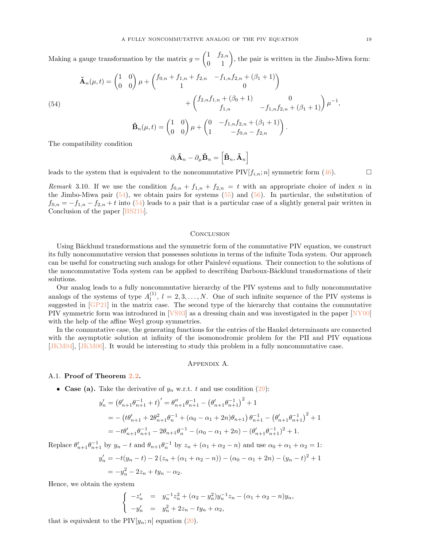<span id="page-18-3"></span>Making a gauge transformation by the matrix  $g = \begin{pmatrix} 1 & f_{2,n} \\ 0 & 1 \end{pmatrix}$ , the pair is written in the Jimbo-Miwa form:

<span id="page-18-2"></span>(54)  
\n
$$
\tilde{\mathbf{A}}_n(\mu, t) = \begin{pmatrix} 1 & 0 \\ 0 & 0 \end{pmatrix} \mu + \begin{pmatrix} f_{0,n} + f_{1,n} + f_{2,n} & -f_{1,n}f_{2,n} + (\beta_1 + 1) \\ 1 & 0 \end{pmatrix} + \begin{pmatrix} f_{2,n}f_{1,n} + (\beta_0 + 1) & 0 \\ f_{1,n} & -f_{1,n}f_{2,n} + (\beta_1 + 1) \end{pmatrix} \mu^{-1},
$$
\n
$$
\tilde{\mathbf{B}}_n(\mu, t) = \begin{pmatrix} 1 & 0 \\ 0 & 0 \end{pmatrix} \mu + \begin{pmatrix} 0 & -f_{1,n}f_{2,n} + (\beta_1 + 1) \\ 1 & -f_{0,n} - f_{2,n} \end{pmatrix}.
$$

The compatibility condition

$$
\partial_t \tilde{\mathbf{A}}_n - \partial_\mu \tilde{\mathbf{B}}_n = \left[ \tilde{\mathbf{B}}_n, \tilde{\mathbf{A}}_n \right]
$$

leads to the system that is equivalent to the noncommutative PIV $[f_{i,n}; n]$  symmetric form [\(46\)](#page-14-1).

Remark 3.10. If we use the condition  $f_{0,n} + f_{1,n} + f_{2,n} = t$  with an appropriate choice of index n in the Jimbo-Miwa pair  $(54)$ , we obtain pairs for systems  $(55)$  and  $(56)$ . In particular, the substitution of  $f_{0,n} = -f_{1,n} - f_{2,n} + t$  into [\(54\)](#page-18-2) leads to a pair that is a particular case of a slightly general pair written in Conclusion of the paper [\[BS21b\]](#page-21-14).

#### **CONCLUSION**

Using Bäcklund transformations and the symmetric form of the commutative PIV equation, we construct its fully noncommutative version that possesses solutions in terms of the infinite Toda system. Our approach can be useful for constructing such analogs for other Painlevé equations. Their connection to the solutions of the noncommutative Toda system can be applied to describing Darboux-Bäcklund transformations of their solutions.

Our analog leads to a fully noncommutative hierarchy of the PIV systems and to fully noncommutative analogs of the systems of type  $A_l^{(1)}$  $\ell_l^{(1)}$ ,  $l = 2, 3, \ldots, N$ . One of such infinite sequence of the PIV systems is suggested in [\[GP21\]](#page-21-25) in the matrix case. The second type of the hierarchy that contains the commutative PIV symmetric form was introduced in [\[VS93\]](#page-21-10) as a dressing chain and was investigated in the paper [\[NY00\]](#page-21-11) with the help of the affine Weyl group symmetries.

In the commutative case, the generating functions for the entries of the Hankel determinants are connected with the asymptotic solution at infinity of the isomonodromic problem for the PII and PIV equations [\[JKM04\]](#page-21-5), [\[JKM06\]](#page-21-6). It would be interesting to study this problem in a fully noncommutative case.

# Appendix A.

## <span id="page-18-1"></span><span id="page-18-0"></span>A.1. Proof of Theorem [2.2.](#page-9-3)

• Case (a). Take the derivative of  $y_n$  w.r.t. t and use condition [\(29\)](#page-9-0):

$$
y'_{n} = (\theta'_{n+1}\theta_{n+1}^{-1} + t)' = \theta''_{n+1}\theta_{n+1}^{-1} - (\theta'_{n+1}\theta_{n+1}^{-1})^{2} + 1
$$
  
=  $-(t\theta'_{n+1} + 2\theta_{n+1}^{2}\theta_{n}^{-1} + (\alpha_{0} - \alpha_{1} + 2n)\theta_{n+1})\theta_{n+1}^{-1} - (\theta'_{n+1}\theta_{n+1}^{-1})^{2} + 1$   
=  $-t\theta'_{n+1}\theta_{n+1}^{-1} - 2\theta_{n+1}\theta_{n}^{-1} - (\alpha_{0} - \alpha_{1} + 2n) - (\theta'_{n+1}\theta_{n+1}^{-1})^{2} + 1.$ 

Replace  $\theta'_{n+1}\theta_{n+1}^{-1}$  by  $y_n-t$  and  $\theta_{n+1}\theta_n^{-1}$  by  $z_n+(\alpha_1+\alpha_2-n)$  and use  $\alpha_0+\alpha_1+\alpha_2=1$ :

$$
y'_n = -t(y_n - t) - 2(z_n + (\alpha_1 + \alpha_2 - n)) - (\alpha_0 - \alpha_1 + 2n) - (y_n - t)^2 + 1
$$
  
=  $-y_n^2 - 2z_n + ty_n - \alpha_2$ .

Hence, we obtain the system

$$
\begin{cases}\n-z'_n &= y_n^{-1}z_n^2 + (\alpha_2 - y_n^2)y_n^{-1}z_n - (\alpha_1 + \alpha_2 - n)y_n, \\
-y'_n &= y_n^2 + 2z_n - ty_n + \alpha_2,\n\end{cases}
$$

that is equivalent to the  $PIV[y_n; n]$  equation [\(20\)](#page-7-1).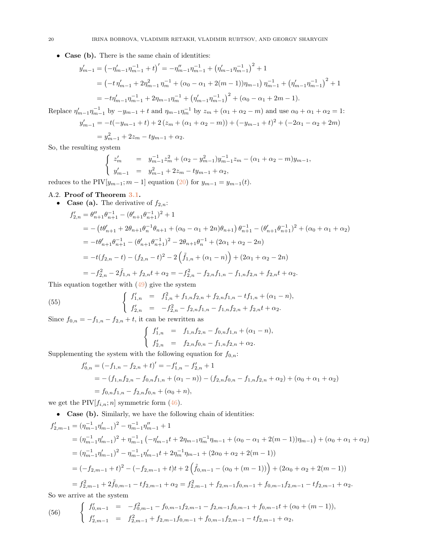• Case (b). There is the same chain of identities:

$$
y'_{m-1} = \left(-\eta'_{m-1}\eta_{m-1}^{-1} + t\right)' = -\eta''_{m-1}\eta_{m-1}^{-1} + \left(\eta'_{m-1}\eta_{m-1}^{-1}\right)^2 + 1
$$
  
=  $\left(-t\eta'_{m-1} + 2\eta_{m-1}^2\eta_{m-1}^{-1} + (\alpha_0 - \alpha_1 + 2(m-1))\eta_{m-1}\right)\eta_{m-1}^{-1} + \left(\eta'_{m-1}\eta_{m-1}^{-1}\right)^2 + 1$   
=  $-t\eta'_{m-1}\eta_{m-1}^{-1} + 2\eta_{m-1}\eta_{m}^{-1} + \left(\eta'_{m-1}\eta_{m-1}^{-1}\right)^2 + (\alpha_0 - \alpha_1 + 2m - 1).$ 

Replace  $\eta'_{m-1}\eta_{m-1}^{-1}$  by  $-y_{m-1} + t$  and  $\eta_{m-1}\eta_{m}^{-1}$  by  $z_{m} + (\alpha_{1} + \alpha_{2} - m)$  and use  $\alpha_{0} + \alpha_{1} + \alpha_{2} = 1$ :

$$
y'_{m-1} = -t(-y_{m-1} + t) + 2(z_m + (\alpha_1 + \alpha_2 - m)) + (-y_{m-1} + t)^2 + (-2\alpha_1 - \alpha_2 + 2m)
$$

$$
= y_{m-1}^2 + 2z_m - ty_{m-1} + \alpha_2.
$$

So, the resulting system

$$
\begin{cases}\nz'_m = y_{m-1}^{-1}z_m^2 + (\alpha_2 - y_{m-1}^2)y_{m-1}^{-1}z_m - (\alpha_1 + \alpha_2 - m)y_{m-1},\\
y'_{m-1} = y_{m-1}^2 + 2z_m - ty_{m-1} + \alpha_2,\n\end{cases}
$$

<span id="page-19-0"></span>reduces to the PIV $[y_{m-1}; m-1]$  equation [\(20\)](#page-7-1) for  $y_{m-1} = y_{m-1}(t)$ .

# A.2. Proof of Theorem [3.1.](#page-14-4)

• Case (a). The derivative of 
$$
f_{2,n}
$$
:  
\n
$$
f'_{2,n} = \theta''_{n+1}\theta^{-1}_{n+1} - (\theta'_{n+1}\theta^{-1}_{n+1})^2 + 1
$$
\n
$$
= - (t\theta'_{n+1} + 2\theta_{n+1}\theta^{-1}_{n}\theta_{n+1} + (\alpha_0 - \alpha_1 + 2n)\theta_{n+1})\theta^{-1}_{n+1} - (\theta'_{n+1}\theta^{-1}_{n+1})^2 + (\alpha_0 + \alpha_1 + \alpha_2)
$$
\n
$$
= -t\theta'_{n+1}\theta^{-1}_{n+1} - (\theta'_{n+1}\theta^{-1}_{n+1})^2 - 2\theta_{n+1}\theta^{-1}_{n} + (2\alpha_1 + \alpha_2 - 2n)
$$
\n
$$
= -t(f_{2,n} - t) - (f_{2,n} - t)^2 - 2(\tilde{f}_{1,n} + (\alpha_1 - n)) + (2\alpha_1 + \alpha_2 - 2n)
$$
\n
$$
= -f_{2,n}^2 - 2\tilde{f}_{1,n} + f_{2,n}t + \alpha_2 = -f_{2,n}^2 - f_{2,n}f_{1,n} - f_{1,n}f_{2,n} + f_{2,n}t + \alpha_2.
$$

This equation together with [\(49\)](#page-14-5) give the system

<span id="page-19-1"></span>(55) 
$$
\begin{cases} f'_{1,n} = f_{1,n}^2 + f_{1,n}f_{2,n} + f_{2,n}f_{1,n} - tf_{1,n} + (\alpha_1 - n), \\ f'_{2,n} = -f_{2,n}^2 - f_{2,n}f_{1,n} - f_{1,n}f_{2,n} + f_{2,n}t + \alpha_2. \end{cases}
$$

Since  $f_{0,n} = -f_{1,n} - f_{2,n} + t$ , it can be rewritten as

$$
\begin{cases}\nf'_{1,n} = f_{1,n}f_{2,n} - f_{0,n}f_{1,n} + (\alpha_1 - n), \\
f'_{2,n} = f_{2,n}f_{0,n} - f_{1,n}f_{2,n} + \alpha_2.\n\end{cases}
$$

Supplementing the system with the following equation for  $f_{0,n}$ :

$$
f'_{0,n} = (-f_{1,n} - f_{2,n} + t)' = -f'_{1,n} - f'_{2,n} + 1
$$
  
= -(f\_{1,n}f\_{2,n} - f\_{0,n}f\_{1,n} + (\alpha\_1 - n)) - (f\_{2,n}f\_{0,n} - f\_{1,n}f\_{2,n} + \alpha\_2) + (\alpha\_0 + \alpha\_1 + \alpha\_2)  
= f\_{0,n}f\_{1,n} - f\_{2,n}f\_{0,n} + (\alpha\_0 + n),

we get the PIV $[f_{i,n}; n]$  symmetric form [\(46\)](#page-14-1).

• Case (b). Similarly, we have the following chain of identities:

$$
f'_{2,m-1} = (\eta_{m-1}^{-1} \eta'_{m-1})^2 - \eta_{m-1}^{-1} \eta''_{m-1} + 1
$$
  
\n
$$
= (\eta_{m-1}^{-1} \eta'_{m-1})^2 + \eta_{m-1}^{-1} (-\eta'_{m-1}t + 2\eta_{m-1}\eta_m^{-1}\eta_{m-1} + (\alpha_0 - \alpha_1 + 2(m-1))\eta_{m-1}) + (\alpha_0 + \alpha_1 + \alpha_2)
$$
  
\n
$$
= (\eta_{m-1}^{-1} \eta'_{m-1})^2 - \eta_{m-1}^{-1} \eta'_{m-1}t + 2\eta_m^{-1}\eta_{m-1} + (2\alpha_0 + \alpha_2 + 2(m-1))
$$
  
\n
$$
= (-f_{2,m-1} + t)^2 - (-f_{2,m-1} + t)t + 2(\tilde{f}_{0,m-1} - (\alpha_0 + (m-1))) + (2\alpha_0 + \alpha_2 + 2(m-1))
$$
  
\n
$$
= f_{2,m-1}^2 + 2\tilde{f}_{0,m-1} - tf_{2,m-1} + \alpha_2 = f_{2,m-1}^2 + f_{2,m-1}f_{0,m-1} + f_{0,m-1}f_{2,m-1} - tf_{2,m-1} + \alpha_2.
$$

So we arrive at the system

<span id="page-19-2"></span>(56) 
$$
\begin{cases} f'_{0,m-1} = -f_{0,m-1}^2 - f_{0,m-1}f_{2,m-1} - f_{2,m-1}f_{0,m-1} + f_{0,m-1}t + (\alpha_0 + (m-1)), \\ f'_{2,m-1} = f_{2,m-1}^2 + f_{2,m-1}f_{0,m-1} + f_{0,m-1}f_{2,m-1} - tf_{2,m-1} + \alpha_2, \end{cases}
$$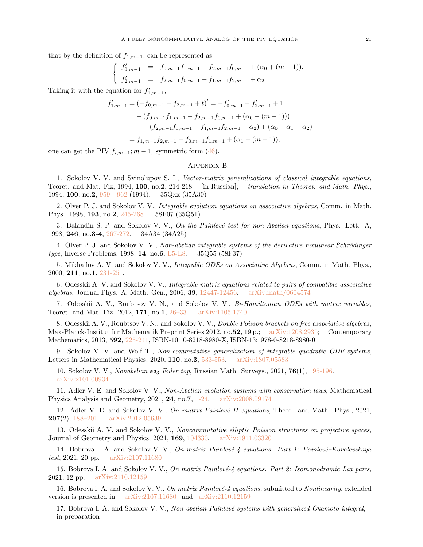that by the definition of  $f_{1,m-1}$ , can be represented as

$$
\begin{cases}\nf'_{0,m-1} = f_{0,m-1}f_{1,m-1} - f_{2,m-1}f_{0,m-1} + (\alpha_0 + (m-1)), \\
f'_{2,m-1} = f_{2,m-1}f_{0,m-1} - f_{1,m-1}f_{2,m-1} + \alpha_2.\n\end{cases}
$$

Taking it with the equation for  $f'_{1,m-1}$ ,

$$
f'_{1,m-1} = (-f_{0,m-1} - f_{2,m-1} + t)' = -f'_{0,m-1} - f'_{2,m-1} + 1
$$
  
= -(f\_{0,m-1}f\_{1,m-1} - f\_{2,m-1}f\_{0,m-1} + (\alpha\_0 + (m - 1)))  
-(f\_{2,m-1}f\_{0,m-1} - f\_{1,m-1}f\_{2,m-1} + \alpha\_2) + (\alpha\_0 + \alpha\_1 + \alpha\_2)  
= f\_{1,m-1}f\_{2,m-1} - f\_{0,m-1}f\_{1,m-1} + (\alpha\_1 - (m - 1)),

<span id="page-20-0"></span>one can get the PIV $[f_{i,m-1};m-1]$  symmetric form [\(46\)](#page-14-1).

#### Appendix B.

1. Sokolov V. V. and Svinolupov S. I., Vector-matrix generalizations of classical integrable equations, Teoret. and Mat. Fiz, 1994, 100, no.2, 214-218 [in Russian]; translation in Theoret. and Math. Phys., 1994, 100, no.2, [959 - 962](https://link.springer.com/article/10.1007/BF01016758) (1994). 35Qxx (35A30)

2. Olver P. J. and Sokolov V. V., Integrable evolution equations on associative algebras, Comm. in Math. Phys., 1998, 193, no.2, [245-268.](https://link.springer.com/article/10.1007/s002200050328) 58F07 (35Q51)

3. Balandin S. P. and Sokolov V. V., On the Painlevé test for non-Abelian equations, Phys. Lett. A, 1998, 246, no.3-4, [267-272.](https://www.sciencedirect.com/science/article/abs/pii/S0375960198003363?via%3Dihub) 34A34 (34A25)

4. Olver P. J. and Sokolov V. V., Non-abelian integrable systems of the derivative nonlinear Schrödinger type, Inverse Problems, 1998, 14, no.6, [L5-L8.](https://iopscience.iop.org/article/10.1088/0266-5611/14/6/002) 35Q55 (58F37)

5. Mikhailov A. V. and Sokolov V. V., Integrable ODEs on Associative Algebras, Comm. in Math. Phys., 2000, 211, no.1, [231-251.](https://link.springer.com/article/10.1007/s002200050810)

6. Odesskii A. V. and Sokolov V. V., Integrable matrix equations related to pairs of compatible associative algebras, Journal Phys. A: Math. Gen., 2006, 39, [12447-12456.](https://iopscience.iop.org/article/10.1088/0305-4470/39/40/011/meta) [arXiv:math/0604574](https://arxiv.org/abs/math/0604574)

7. Odesskii A. V., Roubtsov V. N., and Sokolov V. V., Bi-Hamiltonian ODEs with matrix variables, Teoret. and Mat. Fiz. 2012, 171, no.1, [26–33.](http://www.mathnet.ru/php/archive.phtml?wshow=paper&jrnid=tmf&paperid=6912&option_lang=eng) [arXiv:1105.1740.](https://arxiv.org/abs/1105.1740)

8. Odesskii A. V., Roubtsov V. N., and Sokolov V. V., Double Poisson brackets on free associative algebras, Max-Planck-Institut fur Mathematik Preprint Series 2012, no.52, 19 p.; [arXiv:1208.2935;](https://arxiv.org/abs/1208.2935) Contemporary Mathematics, 2013, 592, [225-241,](http://dx.doi.org/10.1090/conm/592/11861) ISBN-10: 0-8218-8980-X, ISBN-13: 978-0-8218-8980-0

9. Sokolov V. V. and Wolf T., Non-commutative generalization of integrable quadratic ODE-systems, Letters in Mathematical Physics, 2020, 110, no.3, [533-553.](https://link.springer.com/article/10.1007/s11005-019-01229-0) [arXiv:1807.05583](https://arxiv.org/abs/1807.05583)

10. Sokolov V. V., Nonabelian  $\mathfrak{so}_3$  Euler top, Russian Math. Surveys., 2021,  $\mathbf{76}(1)$ , [195-196.](http://dx.doi.org/10.4213%2Frm9988) [arXiv:2101.00934](https://arxiv.org/abs/2101.00934)

11. Adler V. E. and Sokolov V. V., Non-Abelian evolution systems with conservation laws, Mathematical Physics Analysis and Geometry, 2021, 24, no.7, [1-24.](https://link.springer.com/article/10.1007/s11040-021-09382-6) [arXiv:2008.09174](https://arxiv.org/abs/2008.09174)

12. Adler V. E. and Sokolov V. V., On matrix Painlevé II equations, Theor. and Math. Phys., 2021, **207**(2),  $188-201$ . [arXiv:2012.05639](https://arxiv.org/abs/2012.05639)

13. Odesskii A. V. and Sokolov V. V., Noncommutative elliptic Poisson structures on projective spaces, Journal of Geometry and Physics, 2021, 169, [104330.](https://doi.org/10.1016/j.geomphys.2021.104330) [arXiv:1911.03320](https://arxiv.org/abs/1911.03320)

14. Bobrova I. A. and Sokolov V. V., On matrix Painlevé-4 equations. Part 1: Painlevé–Kovalevskaya test, 2021, 20 pp. [arXiv:2107.11680](https://arxiv.org/abs/2107.11680)

15. Bobrova I. A. and Sokolov V. V., On matrix Painlevé-4 equations. Part 2: Isomonodromic Lax pairs, 2021, 12 pp. [arXiv:2110.12159](https://arxiv.org/abs/2110.12159)

16. Bobrova I. A. and Sokolov V. V., On matrix Painlevé-4 equations, submitted to Nonlinearity, extended version is presented in [arXiv:2107.11680](https://arxiv.org/abs/2107.11680) and [arXiv:2110.12159](https://arxiv.org/abs/2110.12159)

17. Bobrova I. A. and Sokolov V. V., Non-abelian Painlevé systems with generalized Okamoto integral, in preparation